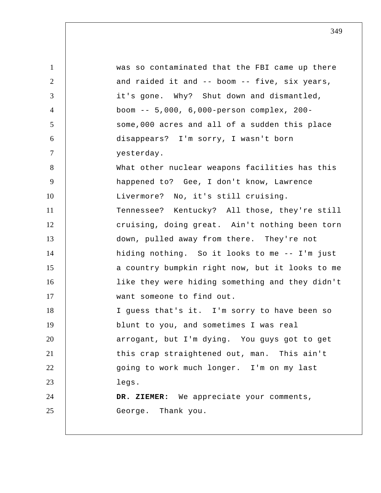1 2 3 4 5 6 7 8 9 10 11 12 13 14 15 16 17 18 19 20 21 22 23 24 25 was so contaminated that the FBI came up there and raided it and -- boom -- five, six years, it's gone. Why? Shut down and dismantled, boom -- 5,000, 6,000-person complex, 200 some,000 acres and all of a sudden this place disappears? I'm sorry, I wasn't born yesterday. What other nuclear weapons facilities has this happened to? Gee, I don't know, Lawrence Livermore? No, it's still cruising. Tennessee? Kentucky? All those, they're still cruising, doing great. Ain't nothing been torn down, pulled away from there. They're not hiding nothing. So it looks to me -- I'm just a country bumpkin right now, but it looks to me like they were hiding something and they didn't want someone to find out. I guess that's it. I'm sorry to have been so blunt to you, and sometimes I was real arrogant, but I'm dying. You guys got to get this crap straightened out, man. This ain't going to work much longer. I'm on my last legs.  **DR. ZIEMER:** We appreciate your comments, George. Thank you.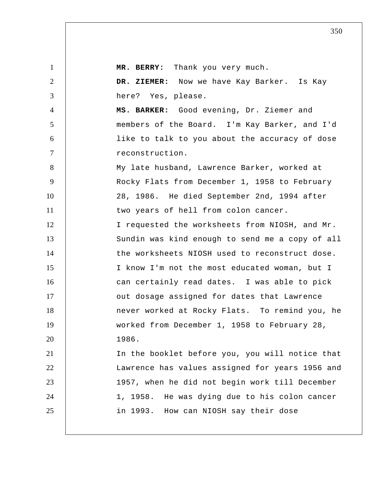1 2 3 4 5 6 7 8 9 10 11 12 13 14 15 16 17 18 19 20 21 22 23 24 25 **MR. BERRY:** Thank you very much.  **DR. ZIEMER:** Now we have Kay Barker. Is Kay here? Yes, please.  **MS. BARKER:** Good evening, Dr. Ziemer and members of the Board. I'm Kay Barker, and I'd like to talk to you about the accuracy of dose reconstruction. My late husband, Lawrence Barker, worked at Rocky Flats from December 1, 1958 to February 28, 1986. He died September 2nd, 1994 after two years of hell from colon cancer. I requested the worksheets from NIOSH, and Mr. Sundin was kind enough to send me a copy of all the worksheets NIOSH used to reconstruct dose. I know I'm not the most educated woman, but I can certainly read dates. I was able to pick out dosage assigned for dates that Lawrence never worked at Rocky Flats. To remind you, he worked from December 1, 1958 to February 28, 1986. In the booklet before you, you will notice that Lawrence has values assigned for years 1956 and 1957, when he did not begin work till December 1, 1958. He was dying due to his colon cancer in 1993. How can NIOSH say their dose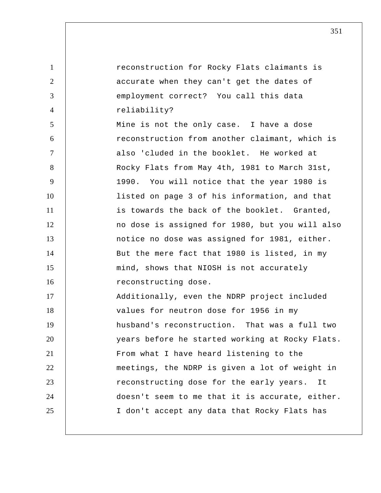1 2 3 4 5 6 7 8 9 10 11 12 13 14 15 16 17 18 19 20 21 22 23 24 25 reconstruction for Rocky Flats claimants is accurate when they can't get the dates of employment correct? You call this data reliability? Mine is not the only case. I have a dose reconstruction from another claimant, which is also 'cluded in the booklet. He worked at Rocky Flats from May 4th, 1981 to March 31st, 1990. You will notice that the year 1980 is listed on page 3 of his information, and that is towards the back of the booklet. Granted, no dose is assigned for 1980, but you will also notice no dose was assigned for 1981, either. But the mere fact that 1980 is listed, in my mind, shows that NIOSH is not accurately reconstructing dose. Additionally, even the NDRP project included values for neutron dose for 1956 in my husband's reconstruction. That was a full two years before he started working at Rocky Flats. From what I have heard listening to the meetings, the NDRP is given a lot of weight in reconstructing dose for the early years. It doesn't seem to me that it is accurate, either. I don't accept any data that Rocky Flats has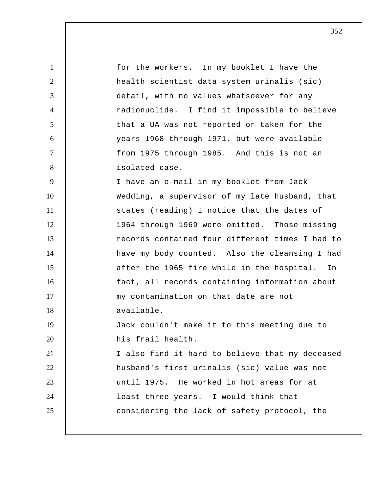| $\mathbf{1}$   | for the workers. In my booklet I have the       |
|----------------|-------------------------------------------------|
| $\overline{2}$ | health scientist data system urinalis (sic)     |
| 3              | detail, with no values whatsoever for any       |
| $\overline{4}$ | radionuclide. I find it impossible to believe   |
| 5              | that a UA was not reported or taken for the     |
| 6              | years 1968 through 1971, but were available     |
| $\tau$         | from 1975 through 1985. And this is not an      |
| 8              | isolated case.                                  |
| 9              | I have an e-mail in my booklet from Jack        |
| 10             | Wedding, a supervisor of my late husband, that  |
| 11             | states (reading) I notice that the dates of     |
| 12             | 1964 through 1969 were omitted. Those missing   |
| 13             | records contained four different times I had to |
| 14             | have my body counted. Also the cleansing I had  |
| 15             | after the 1965 fire while in the hospital. In   |
| 16             | fact, all records containing information about  |
| 17             | my contamination on that date are not           |
| 18             | available.                                      |
| 19             | Jack couldn't make it to this meeting due to    |
| 20             | his frail health.                               |
| 21             | I also find it hard to believe that my deceased |
| 22             | husband's first urinalis (sic) value was not    |
| 23             | until 1975. He worked in hot areas for at       |
| 24             | least three years. I would think that           |
| 25             | considering the lack of safety protocol, the    |
|                |                                                 |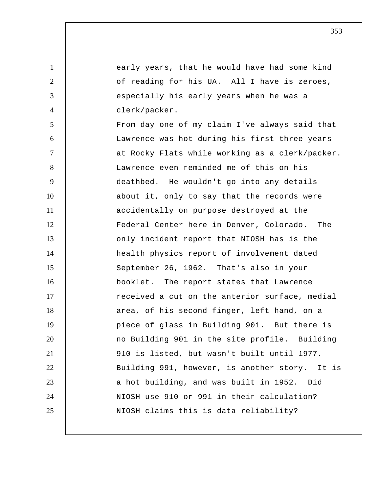early years, that he would have had some kind of reading for his UA. All I have is zeroes, especially his early years when he was a clerk/packer.

1

2

3

4

5 6 7 8 9 10 11 12 13 14 15 16 17 18 19 20 21 22 23 24 25 From day one of my claim I've always said that Lawrence was hot during his first three years at Rocky Flats while working as a clerk/packer. Lawrence even reminded me of this on his deathbed. He wouldn't go into any details about it, only to say that the records were accidentally on purpose destroyed at the Federal Center here in Denver, Colorado. The only incident report that NIOSH has is the health physics report of involvement dated September 26, 1962. That's also in your booklet. The report states that Lawrence received a cut on the anterior surface, medial area, of his second finger, left hand, on a piece of glass in Building 901. But there is no Building 901 in the site profile. Building 910 is listed, but wasn't built until 1977. Building 991, however, is another story. It is a hot building, and was built in 1952. Did NIOSH use 910 or 991 in their calculation? NIOSH claims this is data reliability?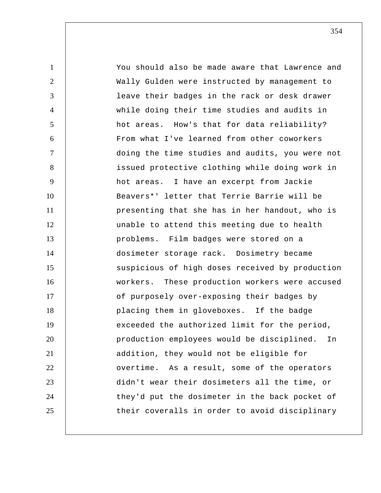1 2 3 4 5 6 7 8 9 10 11 12 13 14 15 16 17 18 19 20 21 22 23 24 25 You should also be made aware that Lawrence and Wally Gulden were instructed by management to leave their badges in the rack or desk drawer while doing their time studies and audits in hot areas. How's that for data reliability? From what I've learned from other coworkers doing the time studies and audits, you were not issued protective clothing while doing work in hot areas. I have an excerpt from Jackie Beavers\*' letter that Terrie Barrie will be presenting that she has in her handout, who is unable to attend this meeting due to health problems. Film badges were stored on a dosimeter storage rack. Dosimetry became suspicious of high doses received by production workers. These production workers were accused of purposely over-exposing their badges by placing them in gloveboxes. If the badge exceeded the authorized limit for the period, production employees would be disciplined. In addition, they would not be eligible for overtime. As a result, some of the operators didn't wear their dosimeters all the time, or they'd put the dosimeter in the back pocket of their coveralls in order to avoid disciplinary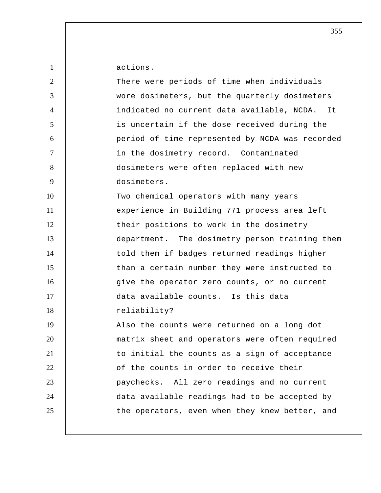| $\mathbf{1}$   | actions.                                        |
|----------------|-------------------------------------------------|
| $\overline{2}$ | There were periods of time when individuals     |
| 3              | wore dosimeters, but the quarterly dosimeters   |
| $\overline{4}$ | indicated no current data available, NCDA. It   |
| 5              | is uncertain if the dose received during the    |
| 6              | period of time represented by NCDA was recorded |
| 7              | in the dosimetry record. Contaminated           |
| 8              | dosimeters were often replaced with new         |
| 9              | dosimeters.                                     |
| 10             | Two chemical operators with many years          |
| 11             | experience in Building 771 process area left    |
| 12             | their positions to work in the dosimetry        |
| 13             | department. The dosimetry person training them  |
| 14             | told them if badges returned readings higher    |
| 15             | than a certain number they were instructed to   |
| 16             | give the operator zero counts, or no current    |
| 17             | data available counts. Is this data             |
| 18             | reliability?                                    |
| 19             | Also the counts were returned on a long dot     |
| 20             | matrix sheet and operators were often required  |
| 21             | to initial the counts as a sign of acceptance   |
| 22             | of the counts in order to receive their         |
| 23             | paychecks. All zero readings and no current     |
| 24             | data available readings had to be accepted by   |
| 25             | the operators, even when they knew better, and  |
|                |                                                 |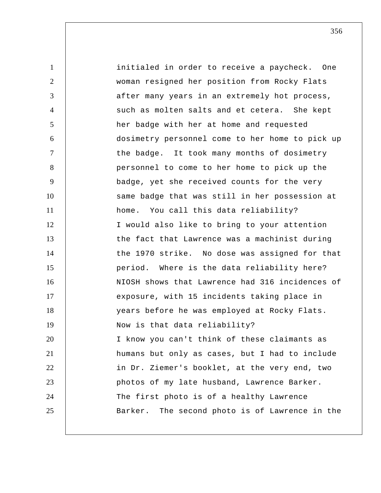1 2 3 4 5 6 7 8 9 10 11 12 13 14 15 16 17 18 19 20 21 22 23 24 25 initialed in order to receive a paycheck. One woman resigned her position from Rocky Flats after many years in an extremely hot process, such as molten salts and et cetera. She kept her badge with her at home and requested dosimetry personnel come to her home to pick up the badge. It took many months of dosimetry personnel to come to her home to pick up the badge, yet she received counts for the very same badge that was still in her possession at home. You call this data reliability? I would also like to bring to your attention the fact that Lawrence was a machinist during the 1970 strike. No dose was assigned for that period. Where is the data reliability here? NIOSH shows that Lawrence had 316 incidences of exposure, with 15 incidents taking place in years before he was employed at Rocky Flats. Now is that data reliability? I know you can't think of these claimants as humans but only as cases, but I had to include in Dr. Ziemer's booklet, at the very end, two photos of my late husband, Lawrence Barker. The first photo is of a healthy Lawrence Barker. The second photo is of Lawrence in the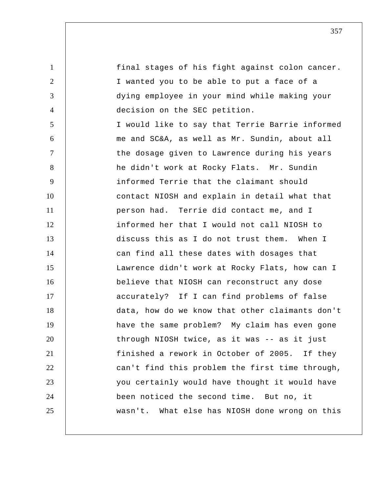1 2 3 4 5 6 7 8 9 10 11 12 13 14 15 16 17 18 19 20 21 22 23 24 25 final stages of his fight against colon cancer. I wanted you to be able to put a face of a dying employee in your mind while making your decision on the SEC petition. I would like to say that Terrie Barrie informed me and SC&A, as well as Mr. Sundin, about all the dosage given to Lawrence during his years he didn't work at Rocky Flats. Mr. Sundin informed Terrie that the claimant should contact NIOSH and explain in detail what that person had. Terrie did contact me, and I informed her that I would not call NIOSH to discuss this as I do not trust them. When I can find all these dates with dosages that Lawrence didn't work at Rocky Flats, how can I believe that NIOSH can reconstruct any dose accurately? If I can find problems of false data, how do we know that other claimants don't have the same problem? My claim has even gone through NIOSH twice, as it was -- as it just finished a rework in October of 2005. If they can't find this problem the first time through, you certainly would have thought it would have been noticed the second time. But no, it wasn't. What else has NIOSH done wrong on this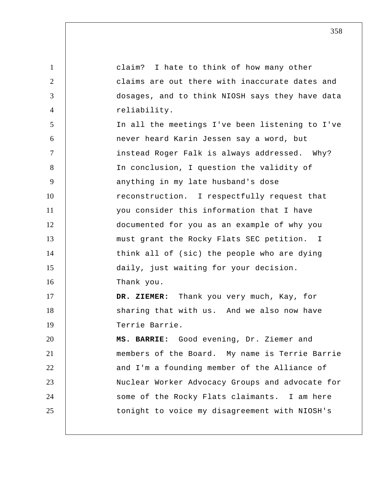1 2 3 4 5 6 7 8 9 10 11 12 13 14 15 16 17 18 19 20 21 22 23 24 25 claim? I hate to think of how many other claims are out there with inaccurate dates and dosages, and to think NIOSH says they have data reliability. In all the meetings I've been listening to I've never heard Karin Jessen say a word, but instead Roger Falk is always addressed. Why? In conclusion, I question the validity of anything in my late husband's dose reconstruction. I respectfully request that you consider this information that I have documented for you as an example of why you must grant the Rocky Flats SEC petition. I think all of (sic) the people who are dying daily, just waiting for your decision. Thank you.  **DR. ZIEMER:** Thank you very much, Kay, for sharing that with us. And we also now have Terrie Barrie.  **MS. BARRIE:** Good evening, Dr. Ziemer and members of the Board. My name is Terrie Barrie and I'm a founding member of the Alliance of Nuclear Worker Advocacy Groups and advocate for some of the Rocky Flats claimants. I am here tonight to voice my disagreement with NIOSH's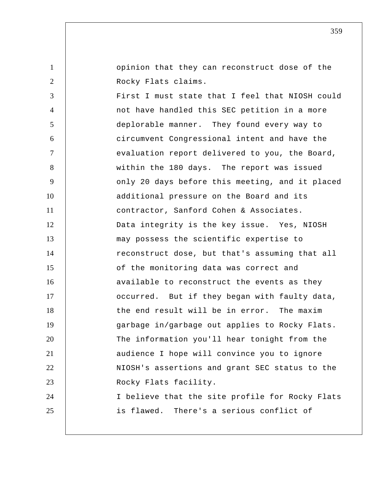10 13 14 15 opinion that they can reconstruct dose of the Rocky Flats claims. First I must state that I feel that NIOSH could not have handled this SEC petition in a more deplorable manner. They found every way to circumvent Congressional intent and have the evaluation report delivered to you, the Board, within the 180 days. The report was issued only 20 days before this meeting, and it placed additional pressure on the Board and its contractor, Sanford Cohen & Associates. Data integrity is the key issue. Yes, NIOSH may possess the scientific expertise to reconstruct dose, but that's assuming that all of the monitoring data was correct and available to reconstruct the events as they

1

2

3

4

5

6

7

8

9

11

12

16 17 18 19 20 21 22 23 24 25 occurred. But if they began with faulty data, the end result will be in error. The maxim garbage in/garbage out applies to Rocky Flats. The information you'll hear tonight from the audience I hope will convince you to ignore NIOSH's assertions and grant SEC status to the Rocky Flats facility. I believe that the site profile for Rocky Flats is flawed. There's a serious conflict of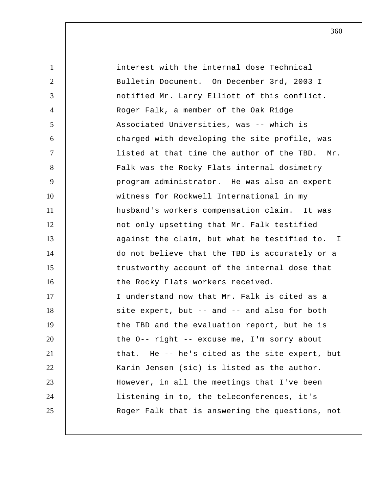1 2 3 4 5 6 7 8 9 10 11 12 13 14 15 16 17 18 19 20 21 22 23 24 25 interest with the internal dose Technical Bulletin Document. On December 3rd, 2003 I notified Mr. Larry Elliott of this conflict. Roger Falk, a member of the Oak Ridge Associated Universities, was -- which is charged with developing the site profile, was listed at that time the author of the TBD. Mr. Falk was the Rocky Flats internal dosimetry program administrator. He was also an expert witness for Rockwell International in my husband's workers compensation claim. It was not only upsetting that Mr. Falk testified against the claim, but what he testified to. I do not believe that the TBD is accurately or a trustworthy account of the internal dose that the Rocky Flats workers received. I understand now that Mr. Falk is cited as a site expert, but -- and -- and also for both the TBD and the evaluation report, but he is the O-- right -- excuse me, I'm sorry about that. He -- he's cited as the site expert, but Karin Jensen (sic) is listed as the author. However, in all the meetings that I've been listening in to, the teleconferences, it's Roger Falk that is answering the questions, not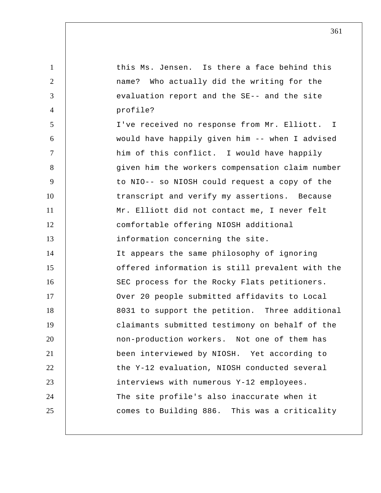1 2 3 4 5 6 7 8 9 10 11 12 13 14 15 16 17 18 19 20 21 22 23 24 25 this Ms. Jensen. Is there a face behind this name? Who actually did the writing for the evaluation report and the SE-- and the site profile? I've received no response from Mr. Elliott. would have happily given him -- when I advised him of this conflict. I would have happily given him the workers compensation claim number to NIO-- so NIOSH could request a copy of the transcript and verify my assertions. Because Mr. Elliott did not contact me, I never felt comfortable offering NIOSH additional information concerning the site. It appears the same philosophy of ignoring offered information is still prevalent with the SEC process for the Rocky Flats petitioners. Over 20 people submitted affidavits to Local 8031 to support the petition. Three additional claimants submitted testimony on behalf of the non-production workers. Not one of them has been interviewed by NIOSH. Yet according to the Y-12 evaluation, NIOSH conducted several interviews with numerous Y-12 employees. The site profile's also inaccurate when it comes to Building 886. This was a criticality I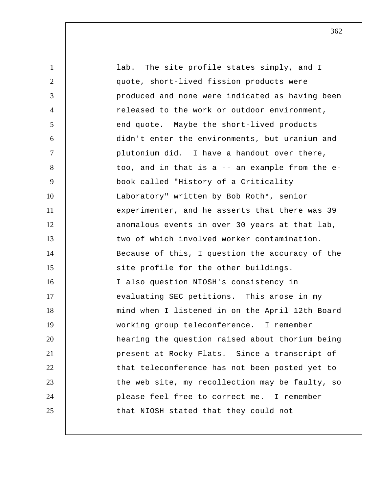| $\mathbf{1}$ | lab. The site profile states simply, and I      |
|--------------|-------------------------------------------------|
| 2            | quote, short-lived fission products were        |
| 3            | produced and none were indicated as having been |
| 4            | released to the work or outdoor environment,    |
| 5            | end quote. Maybe the short-lived products       |
| 6            | didn't enter the environments, but uranium and  |
| $\tau$       | plutonium did. I have a handout over there,     |
| 8            | too, and in that is a -- an example from the e- |
| 9            | book called "History of a Criticality           |
| 10           | Laboratory" written by Bob Roth*, senior        |
| 11           | experimenter, and he asserts that there was 39  |
| 12           | anomalous events in over 30 years at that lab,  |
| 13           | two of which involved worker contamination.     |
| 14           | Because of this, I question the accuracy of the |
| 15           | site profile for the other buildings.           |
| 16           | I also question NIOSH's consistency in          |
| 17           | evaluating SEC petitions. This arose in my      |
| 18           | mind when I listened in on the April 12th Board |
| 19           | working group teleconference. I remember        |
| 20           | hearing the question raised about thorium being |
| 21           | present at Rocky Flats. Since a transcript of   |
| 22           | that teleconference has not been posted yet to  |
| 23           | the web site, my recollection may be faulty, so |
| 24           | please feel free to correct me. I remember      |
| 25           | that NIOSH stated that they could not           |
|              |                                                 |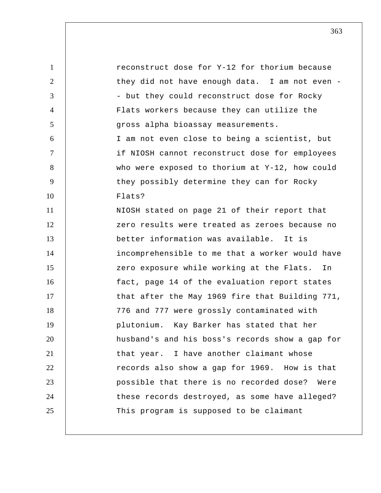1 2 3 4 5 6 7 8 9 10 11 12 13 14 15 16 17 18 19 20 21 22 23 24 25 reconstruct dose for Y-12 for thorium because they did not have enough data. I am not even -- but they could reconstruct dose for Rocky Flats workers because they can utilize the gross alpha bioassay measurements. I am not even close to being a scientist, but if NIOSH cannot reconstruct dose for employees who were exposed to thorium at Y-12, how could they possibly determine they can for Rocky Flats? NIOSH stated on page 21 of their report that zero results were treated as zeroes because no better information was available. It is incomprehensible to me that a worker would have zero exposure while working at the Flats. In fact, page 14 of the evaluation report states that after the May 1969 fire that Building 771, 776 and 777 were grossly contaminated with plutonium. Kay Barker has stated that her husband's and his boss's records show a gap for that year. I have another claimant whose records also show a gap for 1969. How is that possible that there is no recorded dose? Were these records destroyed, as some have alleged? This program is supposed to be claimant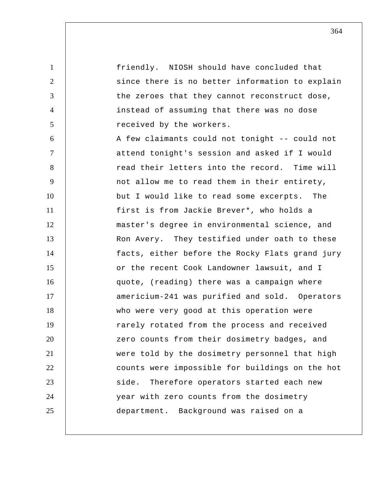1 2 3 4 5 6 7 8 9 10 11 12 13 14 15 16 17 18 19 20 21 22 23 24 25 friendly. NIOSH should have concluded that since there is no better information to explain the zeroes that they cannot reconstruct dose, instead of assuming that there was no dose received by the workers. A few claimants could not tonight -- could not attend tonight's session and asked if I would read their letters into the record. Time will not allow me to read them in their entirety, but I would like to read some excerpts. The first is from Jackie Brever\*, who holds a master's degree in environmental science, and Ron Avery. They testified under oath to these facts, either before the Rocky Flats grand jury or the recent Cook Landowner lawsuit, and I quote, (reading) there was a campaign where americium-241 was purified and sold. Operators who were very good at this operation were rarely rotated from the process and received zero counts from their dosimetry badges, and were told by the dosimetry personnel that high counts were impossible for buildings on the hot side. Therefore operators started each new year with zero counts from the dosimetry department. Background was raised on a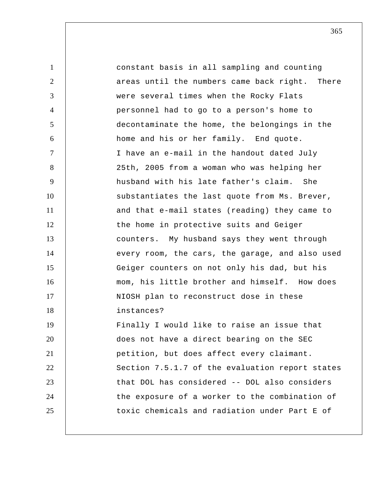1 2 3 4 5 6 7 8 9 10 11 12 13 14 15 16 17 18 19 20 21 22 23 24 25 constant basis in all sampling and counting areas until the numbers came back right. There were several times when the Rocky Flats personnel had to go to a person's home to decontaminate the home, the belongings in the home and his or her family. End quote. I have an e-mail in the handout dated July 25th, 2005 from a woman who was helping her husband with his late father's claim. She substantiates the last quote from Ms. Brever, and that e-mail states (reading) they came to the home in protective suits and Geiger counters. My husband says they went through every room, the cars, the garage, and also used Geiger counters on not only his dad, but his mom, his little brother and himself. How does NIOSH plan to reconstruct dose in these instances? Finally I would like to raise an issue that does not have a direct bearing on the SEC petition, but does affect every claimant. Section 7.5.1.7 of the evaluation report states that DOL has considered -- DOL also considers the exposure of a worker to the combination of toxic chemicals and radiation under Part E of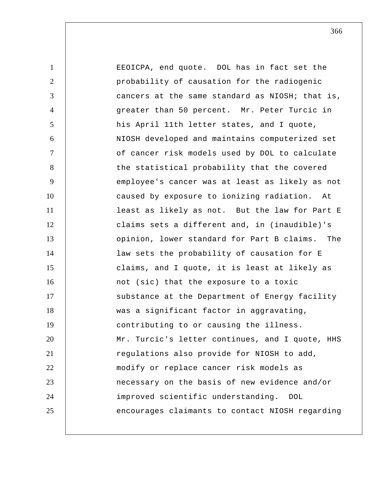1 2 3 4 5 6 7 8 9 10 11 12 13 14 15 16 17 18 19 20 21 22 23 24 25 EEOICPA, end quote. DOL has in fact set the probability of causation for the radiogenic cancers at the same standard as NIOSH; that is, greater than 50 percent. Mr. Peter Turcic in his April 11th letter states, and I quote, NIOSH developed and maintains computerized set of cancer risk models used by DOL to calculate the statistical probability that the covered employee's cancer was at least as likely as not caused by exposure to ionizing radiation. At least as likely as not. But the law for Part E claims sets a different and, in (inaudible)'s opinion, lower standard for Part B claims. The law sets the probability of causation for E claims, and I quote, it is least at likely as not (sic) that the exposure to a toxic substance at the Department of Energy facility was a significant factor in aggravating, contributing to or causing the illness. Mr. Turcic's letter continues, and I quote, HHS regulations also provide for NIOSH to add, modify or replace cancer risk models as necessary on the basis of new evidence and/or improved scientific understanding. DOL encourages claimants to contact NIOSH regarding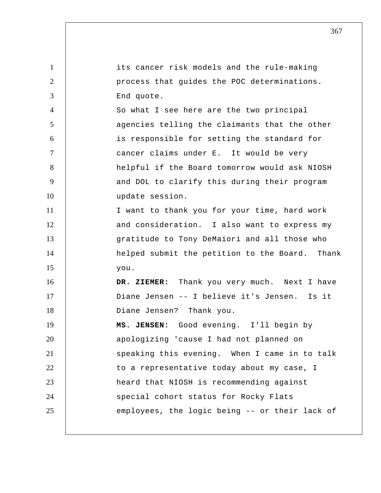| $\mathbf{1}$   | its cancer risk models and the rule-making      |
|----------------|-------------------------------------------------|
| 2              | process that guides the POC determinations.     |
| 3              | End quote.                                      |
| $\overline{4}$ | So what I see here are the two principal        |
| 5              | agencies telling the claimants that the other   |
| 6              | is responsible for setting the standard for     |
| $\tau$         | cancer claims under E. It would be very         |
| 8              | helpful if the Board tomorrow would ask NIOSH   |
| 9              | and DOL to clarify this during their program    |
| 10             | update session.                                 |
| 11             | I want to thank you for your time, hard work    |
| 12             | and consideration. I also want to express my    |
| 13             | gratitude to Tony DeMaiori and all those who    |
| 14             | helped submit the petition to the Board. Thank  |
| 15             | you.                                            |
| 16             | Thank you very much. Next I have<br>DR. ZIEMER: |
| 17             | Diane Jensen -- I believe it's Jensen. Is it    |
| 18             | Diane Jensen? Thank you.                        |
| 19             | MS. JENSEN: Good evening. I'll begin by         |
| 20             | apologizing 'cause I had not planned on         |
| 21             | speaking this evening. When I came in to talk   |
| 22             | to a representative today about my case, I      |
| 23             | heard that NIOSH is recommending against        |
| 24             | special cohort status for Rocky Flats           |
| 25             | employees, the logic being -- or their lack of  |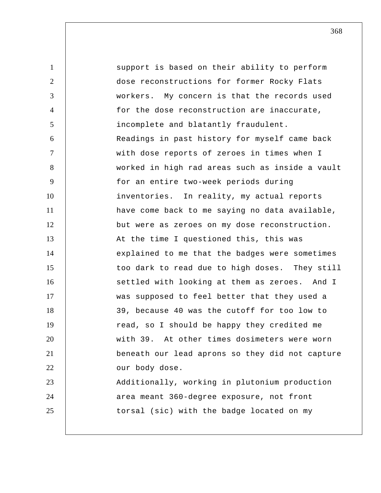1 2 3 4 5 6 7 8 9 10 11 12 13 14 15 16 17 18 19 20 21 22 23 24 25 support is based on their ability to perform dose reconstructions for former Rocky Flats workers. My concern is that the records used for the dose reconstruction are inaccurate, incomplete and blatantly fraudulent. Readings in past history for myself came back with dose reports of zeroes in times when I worked in high rad areas such as inside a vault for an entire two-week periods during inventories. In reality, my actual reports have come back to me saying no data available, but were as zeroes on my dose reconstruction. At the time I questioned this, this was explained to me that the badges were sometimes too dark to read due to high doses. They still settled with looking at them as zeroes. And I was supposed to feel better that they used a 39, because 40 was the cutoff for too low to read, so I should be happy they credited me with 39. At other times dosimeters were worn beneath our lead aprons so they did not capture our body dose. Additionally, working in plutonium production area meant 360-degree exposure, not front torsal (sic) with the badge located on my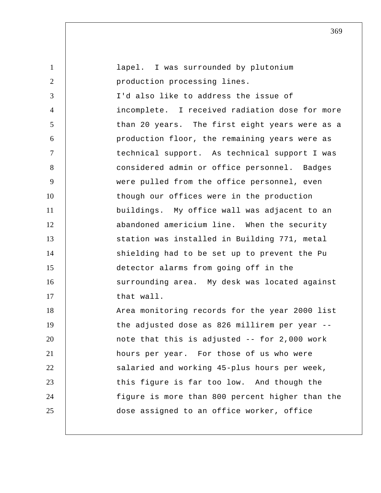| $\mathbf{1}$   | lapel. I was surrounded by plutonium            |
|----------------|-------------------------------------------------|
| $\overline{2}$ | production processing lines.                    |
| 3              | I'd also like to address the issue of           |
| $\overline{4}$ | incomplete. I received radiation dose for more  |
| 5              | than 20 years. The first eight years were as a  |
| 6              | production floor, the remaining years were as   |
| $\tau$         | technical support. As technical support I was   |
| 8              | considered admin or office personnel. Badges    |
| 9              | were pulled from the office personnel, even     |
| 10             | though our offices were in the production       |
| 11             | buildings. My office wall was adjacent to an    |
| 12             | abandoned americium line. When the security     |
| 13             | station was installed in Building 771, metal    |
| 14             | shielding had to be set up to prevent the Pu    |
| 15             | detector alarms from going off in the           |
| 16             | surrounding area. My desk was located against   |
| 17             | that wall.                                      |
| 18             | Area monitoring records for the year 2000 list  |
| 19             | the adjusted dose as 826 millirem per year --   |
| 20             | note that this is adjusted -- for 2,000 work    |
| 21             | hours per year. For those of us who were        |
| 22             | salaried and working 45-plus hours per week,    |
| 23             | this figure is far too low. And though the      |
| 24             | figure is more than 800 percent higher than the |
| 25             | dose assigned to an office worker, office       |
|                |                                                 |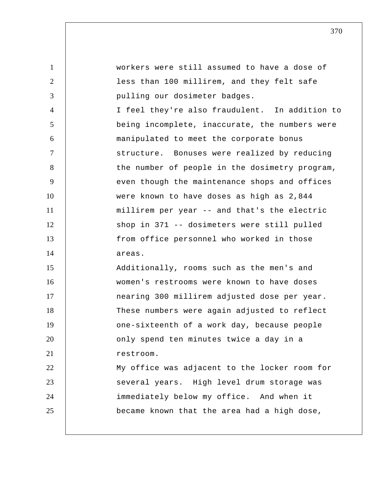1 2 3 4 5 6 7 8 9 10 11 12 13 14 15 16 17 18 19 20 21 22 23 24 25 workers were still assumed to have a dose of less than 100 millirem, and they felt safe pulling our dosimeter badges. I feel they're also fraudulent. In addition to being incomplete, inaccurate, the numbers were manipulated to meet the corporate bonus structure. Bonuses were realized by reducing the number of people in the dosimetry program, even though the maintenance shops and offices were known to have doses as high as 2,844 millirem per year -- and that's the electric shop in 371 -- dosimeters were still pulled from office personnel who worked in those areas. Additionally, rooms such as the men's and women's restrooms were known to have doses nearing 300 millirem adjusted dose per year. These numbers were again adjusted to reflect one-sixteenth of a work day, because people only spend ten minutes twice a day in a restroom. My office was adjacent to the locker room for several years. High level drum storage was immediately below my office. And when it became known that the area had a high dose,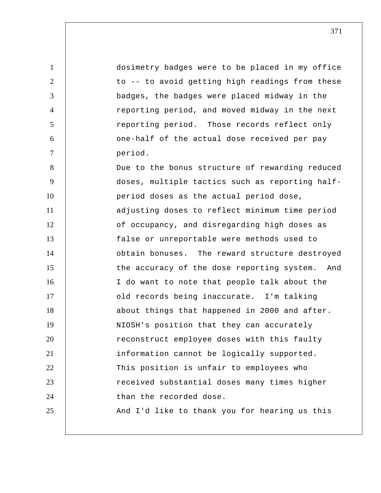1 2 3 4 5 6 7 8 9 10 11 12 13 14 15 16 17 18 19 20 21 22 23 24 25 dosimetry badges were to be placed in my office to -- to avoid getting high readings from these badges, the badges were placed midway in the reporting period, and moved midway in the next reporting period. Those records reflect only one-half of the actual dose received per pay period. Due to the bonus structure of rewarding reduced doses, multiple tactics such as reporting half period doses as the actual period dose, adjusting doses to reflect minimum time period of occupancy, and disregarding high doses as false or unreportable were methods used to obtain bonuses. The reward structure destroyed the accuracy of the dose reporting system. And I do want to note that people talk about the old records being inaccurate. I'm talking about things that happened in 2000 and after. NIOSH's position that they can accurately reconstruct employee doses with this faulty information cannot be logically supported. This position is unfair to employees who received substantial doses many times higher than the recorded dose. And I'd like to thank you for hearing us this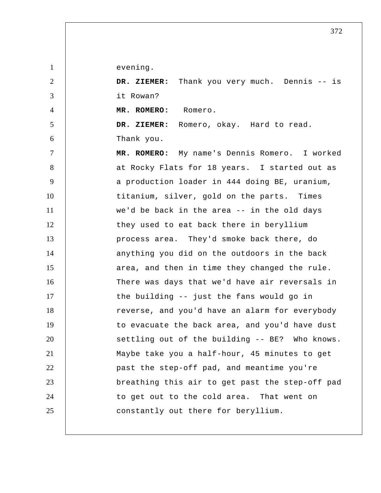evening.

1

2 3 4 5 6 7 8 9 10 11 12 13 14 15 16 17 18 19 20 21 22 23 24 25  **DR. ZIEMER:** Thank you very much. Dennis -- is it Rowan?  **MR. ROMERO:** Romero.  **DR. ZIEMER:** Romero, okay. Hard to read. Thank you.  **MR. ROMERO:** My name's Dennis Romero. I worked at Rocky Flats for 18 years. I started out as a production loader in 444 doing BE, uranium, titanium, silver, gold on the parts. Times we'd be back in the area -- in the old days they used to eat back there in beryllium process area. They'd smoke back there, do anything you did on the outdoors in the back area, and then in time they changed the rule. There was days that we'd have air reversals in the building -- just the fans would go in reverse, and you'd have an alarm for everybody to evacuate the back area, and you'd have dust settling out of the building -- BE? Who knows. Maybe take you a half-hour, 45 minutes to get past the step-off pad, and meantime you're breathing this air to get past the step-off pad to get out to the cold area. That went on constantly out there for beryllium.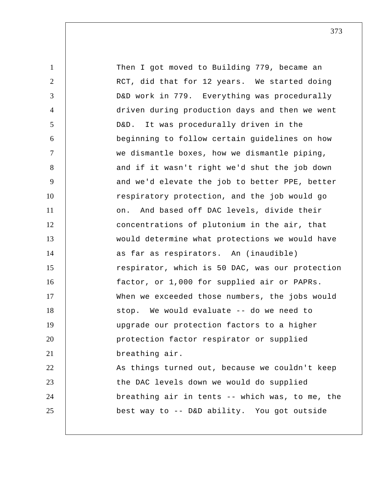1 2 3 4 5 6 7 8 9 10 11 12 13 14 15 16 17 18 19 20 21 22 23 24 25 Then I got moved to Building 779, became an RCT, did that for 12 years. We started doing D&D work in 779. Everything was procedurally driven during production days and then we went D&D. It was procedurally driven in the beginning to follow certain guidelines on how we dismantle boxes, how we dismantle piping, and if it wasn't right we'd shut the job down and we'd elevate the job to better PPE, better respiratory protection, and the job would go on. And based off DAC levels, divide their concentrations of plutonium in the air, that would determine what protections we would have as far as respirators. An (inaudible) respirator, which is 50 DAC, was our protection factor, or 1,000 for supplied air or PAPRs. When we exceeded those numbers, the jobs would stop. We would evaluate -- do we need to upgrade our protection factors to a higher protection factor respirator or supplied breathing air. As things turned out, because we couldn't keep the DAC levels down we would do supplied breathing air in tents -- which was, to me, the best way to -- D&D ability. You got outside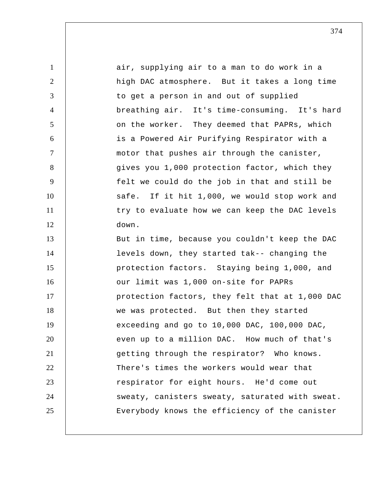| $\mathbf{1}$   | air, supplying air to a man to do work in a     |
|----------------|-------------------------------------------------|
| $\overline{2}$ | high DAC atmosphere. But it takes a long time   |
| 3              | to get a person in and out of supplied          |
| $\overline{4}$ | breathing air. It's time-consuming. It's hard   |
| 5              | on the worker. They deemed that PAPRs, which    |
| 6              | is a Powered Air Purifying Respirator with a    |
| $\tau$         | motor that pushes air through the canister,     |
| 8              | gives you 1,000 protection factor, which they   |
| 9              | felt we could do the job in that and still be   |
| 10             | safe. If it hit 1,000, we would stop work and   |
| 11             | try to evaluate how we can keep the DAC levels  |
| 12             | down.                                           |
| 13             | But in time, because you couldn't keep the DAC  |
| 14             | levels down, they started tak-- changing the    |
| 15             | protection factors. Staying being 1,000, and    |
| 16             | our limit was 1,000 on-site for PAPRs           |
| 17             | protection factors, they felt that at 1,000 DAC |
| 18             | we was protected. But then they started         |
| 19             | exceeding and go to 10,000 DAC, 100,000 DAC,    |
| 20             | even up to a million DAC. How much of that's    |
| 21             | getting through the respirator? Who knows.      |
| 22             | There's times the workers would wear that       |
| 23             | respirator for eight hours. He'd come out       |
| 24             | sweaty, canisters sweaty, saturated with sweat. |
| 25             | Everybody knows the efficiency of the canister  |
|                |                                                 |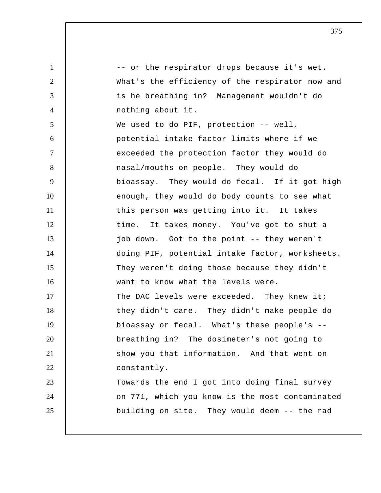1 2 3 4 5 6 7 8 9 10 11 12 13 14 15 16 17 18 19 20 21 22 23 24 25 -- or the respirator drops because it's wet. What's the efficiency of the respirator now and is he breathing in? Management wouldn't do nothing about it. We used to do PIF, protection -- well, potential intake factor limits where if we exceeded the protection factor they would do nasal/mouths on people. They would do bioassay. They would do fecal. If it got high enough, they would do body counts to see what this person was getting into it. It takes time. It takes money. You've got to shut a job down. Got to the point -- they weren't doing PIF, potential intake factor, worksheets. They weren't doing those because they didn't want to know what the levels were. The DAC levels were exceeded. They knew it; they didn't care. They didn't make people do bioassay or fecal. What's these people's - breathing in? The dosimeter's not going to show you that information. And that went on constantly. Towards the end I got into doing final survey on 771, which you know is the most contaminated building on site. They would deem -- the rad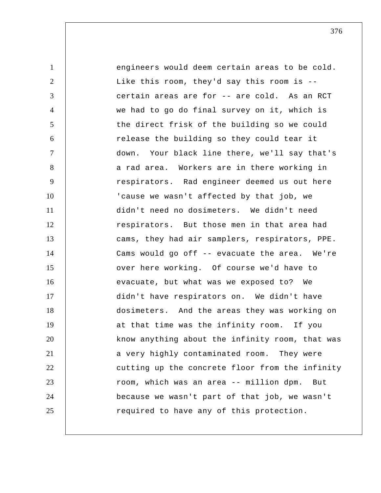1 2 3 4 5 6 7 8 9 10 11 12 13 14 15 16 17 18 19 20 21 22 23 24 25 engineers would deem certain areas to be cold. Like this room, they'd say this room is - certain areas are for -- are cold. As an RCT we had to go do final survey on it, which is the direct frisk of the building so we could release the building so they could tear it down. Your black line there, we'll say that's a rad area. Workers are in there working in respirators. Rad engineer deemed us out here 'cause we wasn't affected by that job, we didn't need no dosimeters. We didn't need respirators. But those men in that area had cams, they had air samplers, respirators, PPE. Cams would go off -- evacuate the area. We're over here working. Of course we'd have to evacuate, but what was we exposed to? We didn't have respirators on. We didn't have dosimeters. And the areas they was working on at that time was the infinity room. If you know anything about the infinity room, that was a very highly contaminated room. They were cutting up the concrete floor from the infinity room, which was an area -- million dpm. But because we wasn't part of that job, we wasn't required to have any of this protection.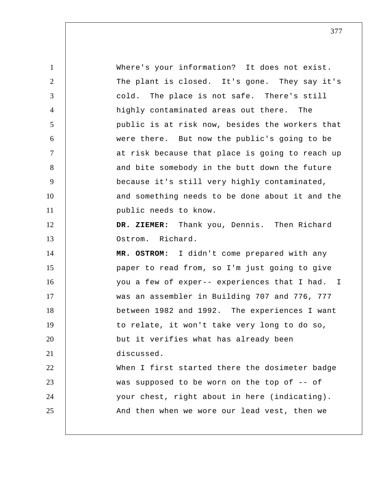1 2 3 4 5 6 7 8 9 10 11 12 13 14 15 16 17 18 19 20 21 22 23 24 25 Where's your information? It does not exist. The plant is closed. It's gone. They say it's cold. The place is not safe. There's still highly contaminated areas out there. The public is at risk now, besides the workers that were there. But now the public's going to be at risk because that place is going to reach up and bite somebody in the butt down the future because it's still very highly contaminated, and something needs to be done about it and the public needs to know.  **DR. ZIEMER:** Thank you, Dennis. Then Richard Ostrom. Richard.  **MR. OSTROM:** I didn't come prepared with any paper to read from, so I'm just going to give you a few of exper-- experiences that I had. I was an assembler in Building 707 and 776, 777 between 1982 and 1992. The experiences I want to relate, it won't take very long to do so, but it verifies what has already been discussed. When I first started there the dosimeter badge was supposed to be worn on the top of -- of your chest, right about in here (indicating). And then when we wore our lead vest, then we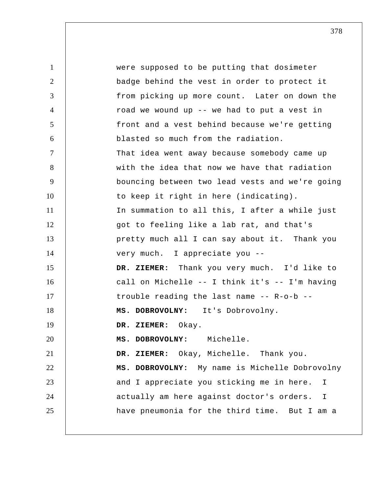1 2 3 4 5 6 7 8 9 10 11 12 13 14 15 16 17 18 19 20 21 22 23 24 25 were supposed to be putting that dosimeter badge behind the vest in order to protect it from picking up more count. Later on down the road we wound up -- we had to put a vest in front and a vest behind because we're getting blasted so much from the radiation. That idea went away because somebody came up with the idea that now we have that radiation bouncing between two lead vests and we're going to keep it right in here (indicating). In summation to all this, I after a while just got to feeling like a lab rat, and that's pretty much all I can say about it. Thank you very much. I appreciate you --  **DR. ZIEMER:** Thank you very much. I'd like to call on Michelle -- I think it's -- I'm having trouble reading the last name -- R-o-b --  **MS. DOBROVOLNY:** It's Dobrovolny.  **DR. ZIEMER:** Okay.  **MS. DOBROVOLNY:** Michelle.  **DR. ZIEMER:** Okay, Michelle. Thank you.  **MS. DOBROVOLNY:** My name is Michelle Dobrovolny and I appreciate you sticking me in here. I actually am here against doctor's orders. I have pneumonia for the third time. But I am a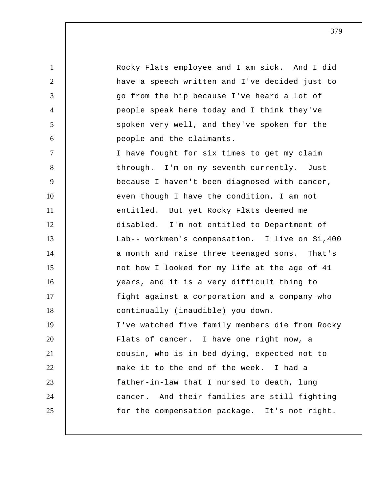1 2 3 4 5 6 7 8 9 10 11 12 13 14 15 16 17 18 19 20 21 22 23 24 25 Rocky Flats employee and I am sick. And I did have a speech written and I've decided just to go from the hip because I've heard a lot of people speak here today and I think they've spoken very well, and they've spoken for the people and the claimants. I have fought for six times to get my claim through. I'm on my seventh currently. Just because I haven't been diagnosed with cancer, even though I have the condition, I am not entitled. But yet Rocky Flats deemed me disabled. I'm not entitled to Department of Lab-- workmen's compensation. I live on \$1,400 a month and raise three teenaged sons. That's not how I looked for my life at the age of 41 years, and it is a very difficult thing to fight against a corporation and a company who continually (inaudible) you down. I've watched five family members die from Rocky Flats of cancer. I have one right now, a cousin, who is in bed dying, expected not to make it to the end of the week. I had a father-in-law that I nursed to death, lung cancer. And their families are still fighting for the compensation package. It's not right.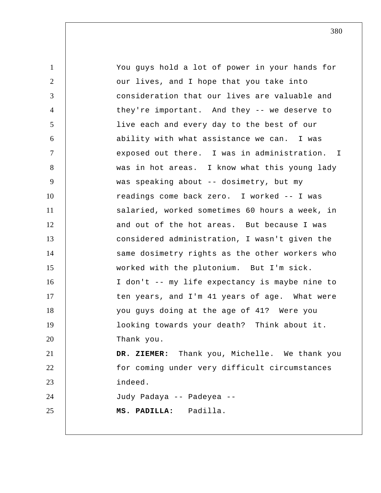| $\mathbf{1}$    | You guys hold a lot of power in your hands for |
|-----------------|------------------------------------------------|
| $\overline{2}$  | our lives, and I hope that you take into       |
| 3               | consideration that our lives are valuable and  |
| $\overline{4}$  | they're important. And they -- we deserve to   |
| $5\overline{)}$ | live each and every day to the best of our     |
| 6               | ability with what assistance we can. I was     |
| $\tau$          | exposed out there. I was in administration. I  |
| 8               | was in hot areas. I know what this young lady  |
| 9               | was speaking about -- dosimetry, but my        |
| 10              | readings come back zero. I worked -- I was     |
| 11              | salaried, worked sometimes 60 hours a week, in |
| 12              | and out of the hot areas. But because I was    |
| 13              | considered administration, I wasn't given the  |
| 14              | same dosimetry rights as the other workers who |
| 15              | worked with the plutonium. But I'm sick.       |
| 16              | I don't -- my life expectancy is maybe nine to |
| 17              | ten years, and I'm 41 years of age. What were  |
| 18              | you guys doing at the age of 41? Were you      |
| 19              | looking towards your death? Think about it.    |
| 20              | Thank you.                                     |
| 21              | DR. ZIEMER: Thank you, Michelle. We thank you  |
| 22              | for coming under very difficult circumstances  |
| 23              | indeed.                                        |
| 24              | Judy Padaya -- Padeyea --                      |
| 25              | MS. PADILLA: Padilla.                          |
|                 |                                                |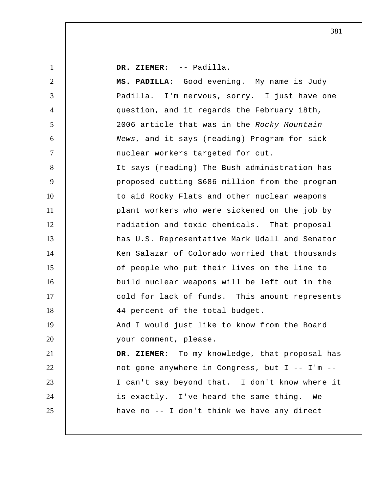| $\mathbf{1}$   | DR. ZIEMER: -- Padilla.                         |
|----------------|-------------------------------------------------|
| $\overline{2}$ | MS. PADILLA: Good evening. My name is Judy      |
| 3              | Padilla. I'm nervous, sorry. I just have one    |
| $\overline{4}$ | question, and it regards the February 18th,     |
| 5              | 2006 article that was in the Rocky Mountain     |
| 6              | News, and it says (reading) Program for sick    |
| $\tau$         | nuclear workers targeted for cut.               |
| 8              | It says (reading) The Bush administration has   |
| 9              | proposed cutting \$686 million from the program |
| 10             | to aid Rocky Flats and other nuclear weapons    |
| 11             | plant workers who were sickened on the job by   |
| 12             | radiation and toxic chemicals. That proposal    |
| 13             | has U.S. Representative Mark Udall and Senator  |
| 14             | Ken Salazar of Colorado worried that thousands  |
| 15             | of people who put their lives on the line to    |
| 16             | build nuclear weapons will be left out in the   |
| 17             | cold for lack of funds. This amount represents  |
| 18             | 44 percent of the total budget.                 |
| 19             | And I would just like to know from the Board    |
| 20             | your comment, please.                           |
| 21             | DR. ZIEMER: To my knowledge, that proposal has  |
| 22             | not gone anywhere in Congress, but I -- I'm --  |
| 23             | I can't say beyond that. I don't know where it  |
| 24             | is exactly. I've heard the same thing.<br>We    |
| 25             | have no -- I don't think we have any direct     |
|                |                                                 |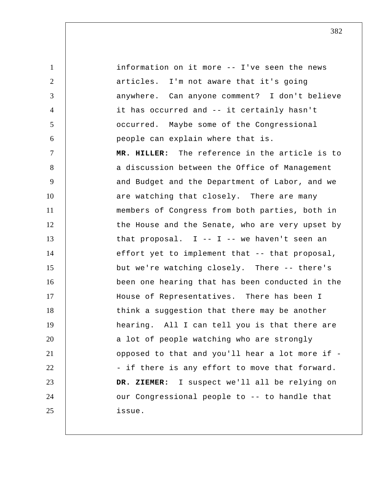1 2 3 4 5 6 7 8 9 10 11 12 13 14 15 16 17 18 19 20 21 22 23 24 25 information on it more -- I've seen the news articles. I'm not aware that it's going anywhere. Can anyone comment? I don't believe it has occurred and -- it certainly hasn't occurred. Maybe some of the Congressional people can explain where that is.  **MR. HILLER:** The reference in the article is to a discussion between the Office of Management and Budget and the Department of Labor, and we are watching that closely. There are many members of Congress from both parties, both in the House and the Senate, who are very upset by that proposal.  $I - - I - -$  we haven't seen an effort yet to implement that -- that proposal, but we're watching closely. There -- there's been one hearing that has been conducted in the House of Representatives. There has been I think a suggestion that there may be another hearing. All I can tell you is that there are a lot of people watching who are strongly opposed to that and you'll hear a lot more if - if there is any effort to move that forward.  **DR. ZIEMER:** I suspect we'll all be relying on our Congressional people to -- to handle that issue.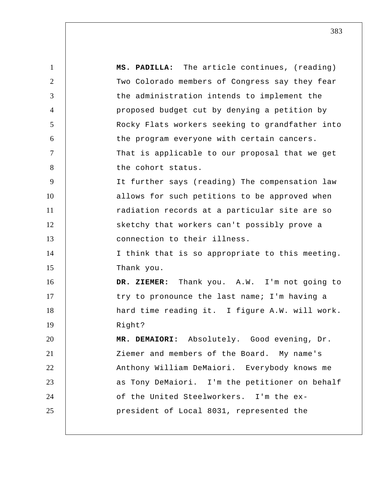1 2 3 4 5 6 7 8 9 10 11 12 13 14 15 16 17 18 19 20 21 22 23 24 25  **MS. PADILLA:** The article continues, (reading) Two Colorado members of Congress say they fear the administration intends to implement the proposed budget cut by denying a petition by Rocky Flats workers seeking to grandfather into the program everyone with certain cancers. That is applicable to our proposal that we get the cohort status. It further says (reading) The compensation law allows for such petitions to be approved when radiation records at a particular site are so sketchy that workers can't possibly prove a connection to their illness. I think that is so appropriate to this meeting. Thank you.  **DR. ZIEMER:** Thank you. A.W. I'm not going to try to pronounce the last name; I'm having a hard time reading it. I figure A.W. will work. Right? **MR. DEMAIORI:** Absolutely. Good evening, Dr. Ziemer and members of the Board. My name's Anthony William DeMaiori. Everybody knows me as Tony DeMaiori. I'm the petitioner on behalf of the United Steelworkers. I'm the expresident of Local 8031, represented the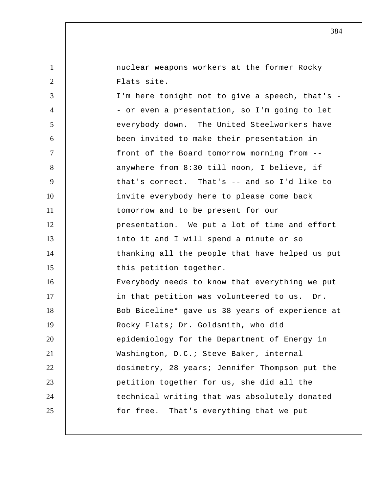nuclear weapons workers at the former Rocky Flats site.

1

2

3 4 5 6 7 8 9 10 11 12 13 14 15 16 17 18 19 20 21 22 23 24 25 I'm here tonight not to give a speech, that's -- or even a presentation, so I'm going to let everybody down. The United Steelworkers have been invited to make their presentation in front of the Board tomorrow morning from - anywhere from 8:30 till noon, I believe, if that's correct. That's -- and so I'd like to invite everybody here to please come back tomorrow and to be present for our presentation. We put a lot of time and effort into it and I will spend a minute or so thanking all the people that have helped us put this petition together. Everybody needs to know that everything we put in that petition was volunteered to us. Dr. Bob Biceline\* gave us 38 years of experience at Rocky Flats; Dr. Goldsmith, who did epidemiology for the Department of Energy in Washington, D.C.; Steve Baker, internal dosimetry, 28 years; Jennifer Thompson put the petition together for us, she did all the technical writing that was absolutely donated for free. That's everything that we put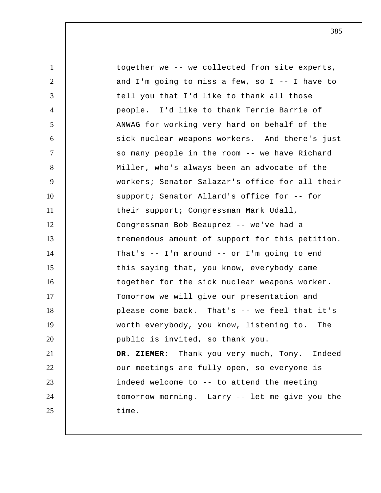1 2 3 4 5 6 7 8 9 10 11 12 13 14 15 16 17 18 19 20 21 22 23 24 25 together we -- we collected from site experts, and I'm going to miss a few, so I -- I have to tell you that I'd like to thank all those people. I'd like to thank Terrie Barrie of ANWAG for working very hard on behalf of the sick nuclear weapons workers. And there's just so many people in the room -- we have Richard Miller, who's always been an advocate of the workers; Senator Salazar's office for all their support; Senator Allard's office for -- for their support; Congressman Mark Udall, Congressman Bob Beauprez -- we've had a tremendous amount of support for this petition. That's -- I'm around -- or I'm going to end this saying that, you know, everybody came together for the sick nuclear weapons worker. Tomorrow we will give our presentation and please come back. That's -- we feel that it's worth everybody, you know, listening to. The public is invited, so thank you.  **DR. ZIEMER:** Thank you very much, Tony. Indeed our meetings are fully open, so everyone is indeed welcome to -- to attend the meeting tomorrow morning. Larry -- let me give you the time.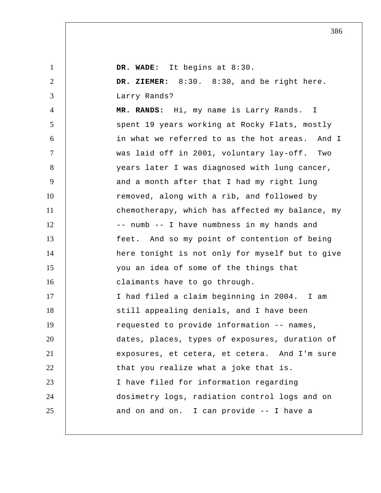| $\mathbf{1}$   | DR. WADE: It begins at 8:30.                    |
|----------------|-------------------------------------------------|
| $\overline{2}$ | DR. ZIEMER: 8:30. 8:30, and be right here.      |
| 3              | Larry Rands?                                    |
| $\overline{4}$ | MR. RANDS: Hi, my name is Larry Rands. I        |
| 5              | spent 19 years working at Rocky Flats, mostly   |
| 6              | in what we referred to as the hot areas. And I  |
| $\overline{7}$ | was laid off in 2001, voluntary lay-off. Two    |
| 8              | years later I was diagnosed with lung cancer,   |
| 9              | and a month after that I had my right lung      |
| 10             | removed, along with a rib, and followed by      |
| 11             | chemotherapy, which has affected my balance, my |
| 12             | -- numb -- I have numbness in my hands and      |
| 13             | feet. And so my point of contention of being    |
| 14             | here tonight is not only for myself but to give |
| 15             | you an idea of some of the things that          |
| 16             | claimants have to go through.                   |
| 17             | I had filed a claim beginning in 2004. I am     |
| 18             | still appealing denials, and I have been        |
| 19             | requested to provide information -- names,      |
| 20             | dates, places, types of exposures, duration of  |
| 21             | exposures, et cetera, et cetera. And I'm sure   |
| 22             | that you realize what a joke that is.           |
| 23             | I have filed for information regarding          |
| 24             | dosimetry logs, radiation control logs and on   |
| 25             | and on and on. I can provide -- I have a        |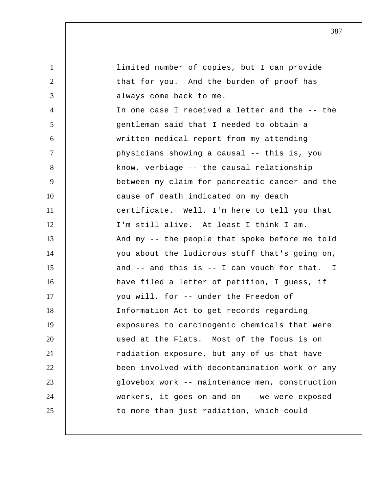1 2 3 4 5 6 7 8 9 10 11 12 13 14 15 16 17 18 19 20 21 22 23 24 25 limited number of copies, but I can provide that for you. And the burden of proof has always come back to me. In one case I received a letter and the -- the gentleman said that I needed to obtain a written medical report from my attending physicians showing a causal -- this is, you know, verbiage -- the causal relationship between my claim for pancreatic cancer and the cause of death indicated on my death certificate. Well, I'm here to tell you that I'm still alive. At least I think I am. And my -- the people that spoke before me told you about the ludicrous stuff that's going on, and -- and this is -- I can vouch for that. I have filed a letter of petition, I guess, if you will, for -- under the Freedom of Information Act to get records regarding exposures to carcinogenic chemicals that were used at the Flats. Most of the focus is on radiation exposure, but any of us that have been involved with decontamination work or any glovebox work -- maintenance men, construction workers, it goes on and on -- we were exposed to more than just radiation, which could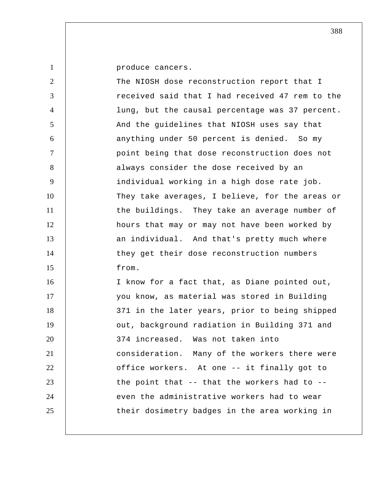produce cancers.

1

| $\overline{2}$ | The NIOSH dose reconstruction report that I        |
|----------------|----------------------------------------------------|
| 3              | received said that I had received 47 rem to the    |
| $\overline{4}$ | lung, but the causal percentage was 37 percent.    |
| 5              | And the guidelines that NIOSH uses say that        |
| 6              | anything under 50 percent is denied. So my         |
| $\tau$         | point being that dose reconstruction does not      |
| 8              | always consider the dose received by an            |
| 9              | individual working in a high dose rate job.        |
| 10             | They take averages, I believe, for the areas or    |
| 11             | the buildings. They take an average number of      |
| 12             | hours that may or may not have been worked by      |
| 13             | an individual. And that's pretty much where        |
| 14             | they get their dose reconstruction numbers         |
| 15             | from.                                              |
| 16             | I know for a fact that, as Diane pointed out,      |
| 17             | you know, as material was stored in Building       |
| 18             | 371 in the later years, prior to being shipped     |
| 19             | out, background radiation in Building 371 and      |
| 20             | 374 increased. Was not taken into                  |
| 21             | consideration. Many of the workers there were      |
| 22             | office workers. At one -- it finally got to        |
| 23             | the point that $-$ - that the workers had to $-$ - |
| 24             | even the administrative workers had to wear        |
| 25             | their dosimetry badges in the area working in      |
|                |                                                    |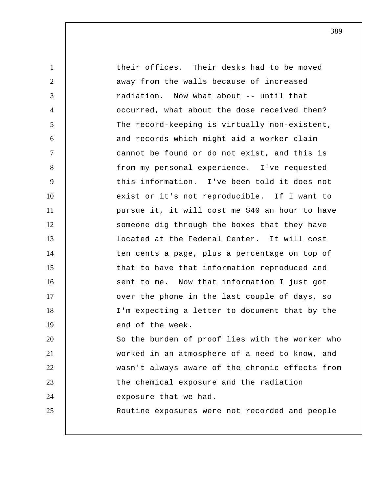1 2 3 4 5 6 7 8 9 10 11 12 13 14 15 16 17 18 19 20 21 22 23 24 25 their offices. Their desks had to be moved away from the walls because of increased radiation. Now what about -- until that occurred, what about the dose received then? The record-keeping is virtually non-existent, and records which might aid a worker claim cannot be found or do not exist, and this is from my personal experience. I've requested this information. I've been told it does not exist or it's not reproducible. If I want to pursue it, it will cost me \$40 an hour to have someone dig through the boxes that they have located at the Federal Center. It will cost ten cents a page, plus a percentage on top of that to have that information reproduced and sent to me. Now that information I just got over the phone in the last couple of days, so I'm expecting a letter to document that by the end of the week. So the burden of proof lies with the worker who worked in an atmosphere of a need to know, and wasn't always aware of the chronic effects from the chemical exposure and the radiation exposure that we had. Routine exposures were not recorded and people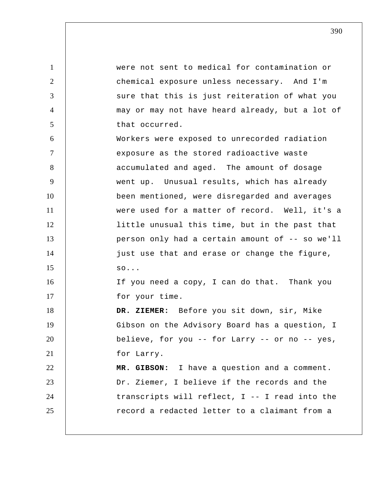1 2 3 4 5 6 7 8 9 10 11 12 13 14 15 16 17 18 19 20 21 22 23 24 25 were not sent to medical for contamination or chemical exposure unless necessary. And I'm sure that this is just reiteration of what you may or may not have heard already, but a lot of that occurred. Workers were exposed to unrecorded radiation exposure as the stored radioactive waste accumulated and aged. The amount of dosage went up. Unusual results, which has already been mentioned, were disregarded and averages were used for a matter of record. Well, it's a little unusual this time, but in the past that person only had a certain amount of -- so we'll just use that and erase or change the figure, so... If you need a copy, I can do that. Thank you for your time.  **DR. ZIEMER:** Before you sit down, sir, Mike Gibson on the Advisory Board has a question, I believe, for you -- for Larry -- or no -- yes, for Larry.  **MR. GIBSON:** I have a question and a comment. Dr. Ziemer, I believe if the records and the transcripts will reflect, I -- I read into the record a redacted letter to a claimant from a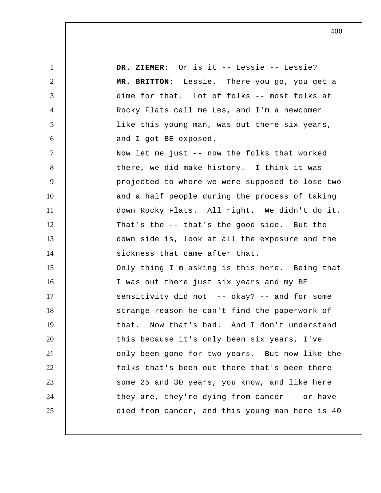1 2 3 4 5 6 7 8 9 10 11 12 13 14 15 16 17 18 19 20 21 22 23 24 25  **DR. ZIEMER:** Or is it -- Lessie -- Lessie?  **MR. BRITTON:** Lessie. There you go, you get a dime for that. Lot of folks -- most folks at Rocky Flats call me Les, and I'm a newcomer like this young man, was out there six years, and I got BE exposed. Now let me just -- now the folks that worked there, we did make history. I think it was projected to where we were supposed to lose two and a half people during the process of taking down Rocky Flats. All right. We didn't do it. That's the -- that's the good side. But the down side is, look at all the exposure and the sickness that came after that. Only thing I'm asking is this here. Being that I was out there just six years and my BE sensitivity did not -- okay? -- and for some strange reason he can't find the paperwork of that. Now that's bad. And I don't understand this because it's only been six years, I've only been gone for two years. But now like the folks that's been out there that's been there some 25 and 30 years, you know, and like here they are, they're dying from cancer -- or have died from cancer, and this young man here is 40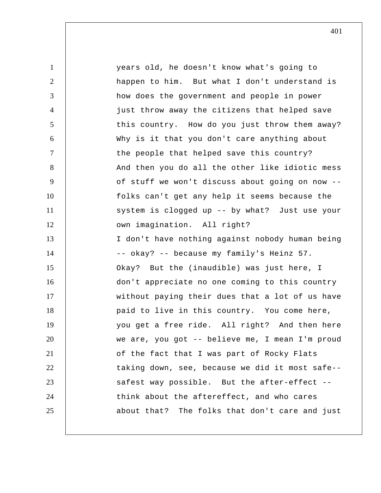1 2 3 4 5 6 7 8 9 10 11 12 13 14 15 16 17 18 19 20 21 22 23 24 25 years old, he doesn't know what's going to happen to him. But what I don't understand is how does the government and people in power just throw away the citizens that helped save this country. How do you just throw them away? Why is it that you don't care anything about the people that helped save this country? And then you do all the other like idiotic mess of stuff we won't discuss about going on now - folks can't get any help it seems because the system is clogged up -- by what? Just use your own imagination. All right? I don't have nothing against nobody human being -- okay? -- because my family's Heinz 57. Okay? But the (inaudible) was just here, I don't appreciate no one coming to this country without paying their dues that a lot of us have paid to live in this country. You come here, you get a free ride. All right? And then here we are, you got -- believe me, I mean I'm proud of the fact that I was part of Rocky Flats taking down, see, because we did it most safe- safest way possible. But the after-effect - think about the aftereffect, and who cares about that? The folks that don't care and just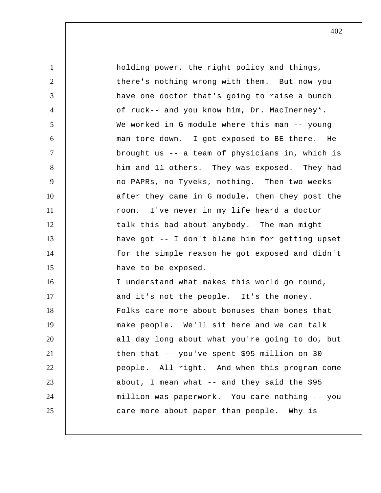1 2 3 4 5 6 7 8 9 10 11 12 13 14 15 16 17 18 19 20 21 22 23 24 25 holding power, the right policy and things, there's nothing wrong with them. But now you have one doctor that's going to raise a bunch of ruck-- and you know him, Dr. MacInerney\*. We worked in G module where this man -- young man tore down. I got exposed to BE there. He brought us -- a team of physicians in, which is him and 11 others. They was exposed. They had no PAPRs, no Tyveks, nothing. Then two weeks after they came in G module, then they post the room. I've never in my life heard a doctor talk this bad about anybody. The man might have got -- I don't blame him for getting upset for the simple reason he got exposed and didn't have to be exposed. I understand what makes this world go round, and it's not the people. It's the money. Folks care more about bonuses than bones that make people. We'll sit here and we can talk all day long about what you're going to do, but then that -- you've spent \$95 million on 30 people. All right. And when this program come about, I mean what  $-$  and they said the \$95 million was paperwork. You care nothing -- you care more about paper than people. Why is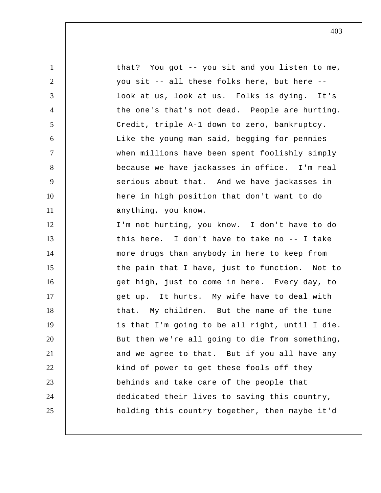1 2 3 4 5 6 7 8 9 10 11 12 13 14 15 16 17 18 19 20 21 22 23 24 25 that? You got -- you sit and you listen to me, you sit -- all these folks here, but here - look at us, look at us. Folks is dying. It's the one's that's not dead. People are hurting. Credit, triple A-1 down to zero, bankruptcy. Like the young man said, begging for pennies when millions have been spent foolishly simply because we have jackasses in office. I'm real serious about that. And we have jackasses in here in high position that don't want to do anything, you know. I'm not hurting, you know. I don't have to do this here. I don't have to take no -- I take more drugs than anybody in here to keep from the pain that I have, just to function. Not to get high, just to come in here. Every day, to get up. It hurts. My wife have to deal with that. My children. But the name of the tune is that I'm going to be all right, until I die. But then we're all going to die from something, and we agree to that. But if you all have any kind of power to get these fools off they behinds and take care of the people that dedicated their lives to saving this country, holding this country together, then maybe it'd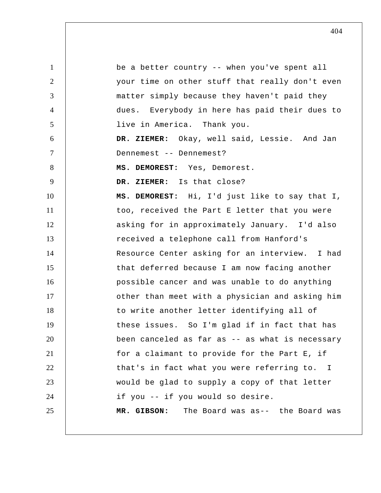1 2 3 4 5 6 7 8 9 10 11 12 13 14 15 16 17 18 19 20 21 22 23 24 25 be a better country -- when you've spent all your time on other stuff that really don't even matter simply because they haven't paid they dues. Everybody in here has paid their dues to live in America. Thank you.  **DR. ZIEMER:** Okay, well said, Lessie. And Jan Dennemest -- Dennemest? **MS. DEMOREST:** Yes, Demorest.  **DR. ZIEMER:** Is that close? **MS. DEMOREST:** Hi, I'd just like to say that I, too, received the Part E letter that you were asking for in approximately January. I'd also received a telephone call from Hanford's Resource Center asking for an interview. I had that deferred because I am now facing another possible cancer and was unable to do anything other than meet with a physician and asking him to write another letter identifying all of these issues. So I'm glad if in fact that has been canceled as far as -- as what is necessary for a claimant to provide for the Part E, if that's in fact what you were referring to. I would be glad to supply a copy of that letter if you -- if you would so desire.  **MR. GIBSON:** The Board was as-- the Board was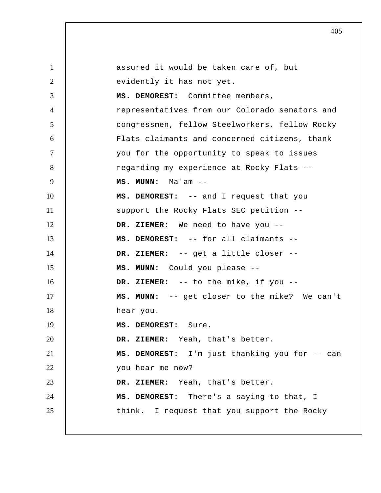1 2 3 4 5 6 7 8 9 10 11 12 13 14 15 16 17 18 19 20 21 22 23 24 25 assured it would be taken care of, but evidently it has not yet. **MS. DEMOREST:** Committee members, representatives from our Colorado senators and congressmen, fellow Steelworkers, fellow Rocky Flats claimants and concerned citizens, thank you for the opportunity to speak to issues regarding my experience at Rocky Flats --  **MS. MUNN:** Ma'am --**MS. DEMOREST:** -- and I request that you support the Rocky Flats SEC petition --  **DR. ZIEMER:** We need to have you --**MS. DEMOREST:** -- for all claimants --  **DR. ZIEMER:** -- get a little closer -- **MS. MUNN:** Could you please -- **DR. ZIEMER:** -- to the mike, if you --  **MS. MUNN:** -- get closer to the mike? We can't hear you. **MS. DEMOREST:** Sure.  **DR. ZIEMER:** Yeah, that's better. **MS. DEMOREST:** I'm just thanking you for -- can you hear me now?  **DR. ZIEMER:** Yeah, that's better. **MS. DEMOREST:** There's a saying to that, I think. I request that you support the Rocky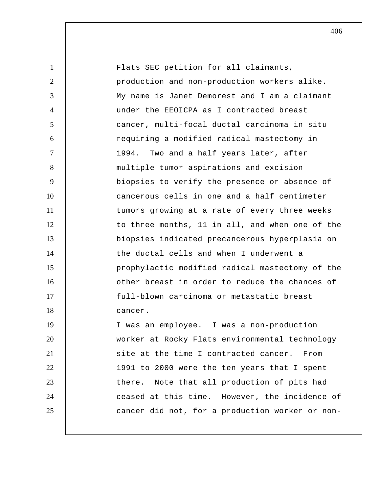1 2 3 4 5 6 7 8 9 10 11 12 13 14 15 16 17 18 19 20 21 22 23 24 25 Flats SEC petition for all claimants, production and non-production workers alike. My name is Janet Demorest and I am a claimant under the EEOICPA as I contracted breast cancer, multi-focal ductal carcinoma in situ requiring a modified radical mastectomy in 1994. Two and a half years later, after multiple tumor aspirations and excision biopsies to verify the presence or absence of cancerous cells in one and a half centimeter tumors growing at a rate of every three weeks to three months, 11 in all, and when one of the biopsies indicated precancerous hyperplasia on the ductal cells and when I underwent a prophylactic modified radical mastectomy of the other breast in order to reduce the chances of full-blown carcinoma or metastatic breast cancer. I was an employee. I was a non-production worker at Rocky Flats environmental technology site at the time I contracted cancer. From 1991 to 2000 were the ten years that I spent there. Note that all production of pits had ceased at this time. However, the incidence of cancer did not, for a production worker or non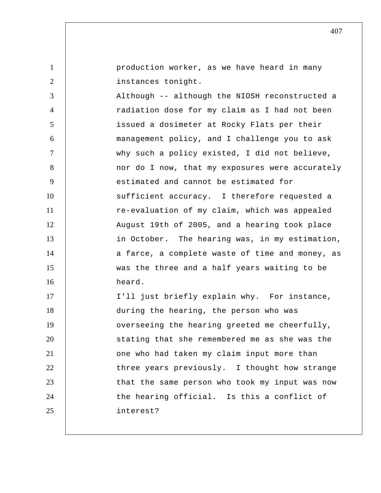| $\mathbf{1}$   | production worker, as we have heard in many     |
|----------------|-------------------------------------------------|
| $\overline{2}$ | instances tonight.                              |
| 3              | Although -- although the NIOSH reconstructed a  |
| $\overline{4}$ | radiation dose for my claim as I had not been   |
| 5              | issued a dosimeter at Rocky Flats per their     |
| 6              | management policy, and I challenge you to ask   |
| $\tau$         | why such a policy existed, I did not believe,   |
| 8              | nor do I now, that my exposures were accurately |
| 9              | estimated and cannot be estimated for           |
| 10             | sufficient accuracy. I therefore requested a    |
| 11             | re-evaluation of my claim, which was appealed   |
| 12             | August 19th of 2005, and a hearing took place   |
| 13             | in October. The hearing was, in my estimation,  |
| 14             | a farce, a complete waste of time and money, as |
| 15             | was the three and a half years waiting to be    |
| 16             | heard.                                          |
| 17             | I'll just briefly explain why. For instance,    |
| 18             | during the hearing, the person who was          |
| 19             | overseeing the hearing greeted me cheerfully,   |
| 20             | stating that she remembered me as she was the   |
| 21             | one who had taken my claim input more than      |
| 22             | three years previously. I thought how strange   |
| 23             | that the same person who took my input was now  |
| 24             | the hearing official. Is this a conflict of     |
| 25             | interest?                                       |
|                |                                                 |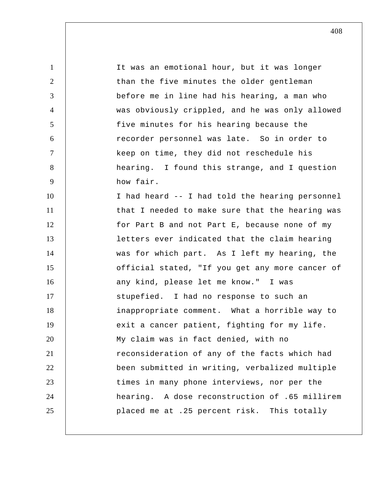1 2 3 4 5 6 7 8 9 10 11 12 13 14 15 16 17 18 19 20 21 22 23 24 25 It was an emotional hour, but it was longer than the five minutes the older gentleman before me in line had his hearing, a man who was obviously crippled, and he was only allowed five minutes for his hearing because the recorder personnel was late. So in order to keep on time, they did not reschedule his hearing. I found this strange, and I question how fair. I had heard -- I had told the hearing personnel that I needed to make sure that the hearing was for Part B and not Part E, because none of my letters ever indicated that the claim hearing was for which part. As I left my hearing, the official stated, "If you get any more cancer of any kind, please let me know." I was stupefied. I had no response to such an inappropriate comment. What a horrible way to exit a cancer patient, fighting for my life. My claim was in fact denied, with no reconsideration of any of the facts which had been submitted in writing, verbalized multiple times in many phone interviews, nor per the hearing. A dose reconstruction of .65 millirem placed me at .25 percent risk. This totally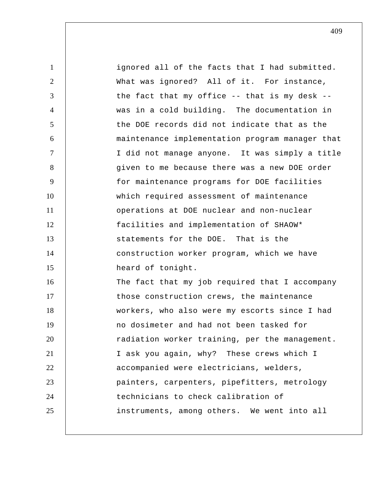| 1              | ignored all of the facts that I had submitted.      |
|----------------|-----------------------------------------------------|
| 2              | What was ignored? All of it. For instance,          |
| 3              | the fact that my office $-$ - that is my desk $-$ - |
| $\overline{4}$ | was in a cold building. The documentation in        |
| 5              | the DOE records did not indicate that as the        |
| 6              | maintenance implementation program manager that     |
| $\tau$         | I did not manage anyone. It was simply a title      |
| 8              | given to me because there was a new DOE order       |
| 9              | for maintenance programs for DOE facilities         |
| 10             | which required assessment of maintenance            |
| 11             | operations at DOE nuclear and non-nuclear           |
| 12             | facilities and implementation of SHAOW*             |
| 13             | statements for the DOE. That is the                 |
| 14             | construction worker program, which we have          |
| 15             | heard of tonight.                                   |
| 16             | The fact that my job required that I accompany      |
| 17             | those construction crews, the maintenance           |
| 18             | workers, who also were my escorts since I had       |
| 19             | no dosimeter and had not been tasked for            |
| 20             | radiation worker training, per the management.      |
| 21             | I ask you again, why? These crews which I           |
| 22             | accompanied were electricians, welders,             |
| 23             | painters, carpenters, pipefitters, metrology        |
| 24             | technicians to check calibration of                 |
| 25             | instruments, among others. We went into all         |
|                |                                                     |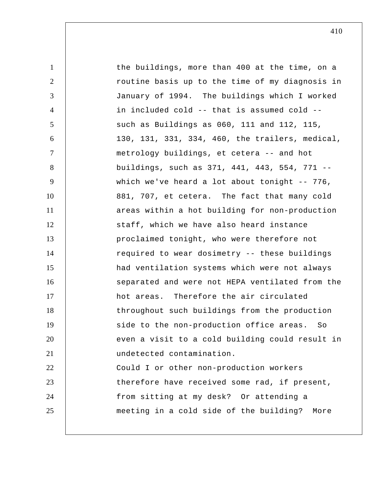1 2 3 4 5 6 7 8 9 10 11 12 13 14 15 16 17 18 19 20 21 22 23 24 25 the buildings, more than 400 at the time, on a routine basis up to the time of my diagnosis in January of 1994. The buildings which I worked in included cold -- that is assumed cold - such as Buildings as 060, 111 and 112, 115, 130, 131, 331, 334, 460, the trailers, medical, metrology buildings, et cetera -- and hot buildings, such as 371, 441, 443, 554, 771 - which we've heard a lot about tonight -- 776, 881, 707, et cetera. The fact that many cold areas within a hot building for non-production staff, which we have also heard instance proclaimed tonight, who were therefore not required to wear dosimetry -- these buildings had ventilation systems which were not always separated and were not HEPA ventilated from the hot areas. Therefore the air circulated throughout such buildings from the production side to the non-production office areas. So even a visit to a cold building could result in undetected contamination. Could I or other non-production workers therefore have received some rad, if present, from sitting at my desk? Or attending a meeting in a cold side of the building? More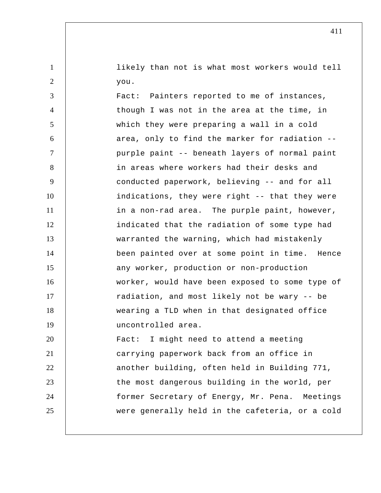likely than not is what most workers would tell you.

1

2

3 4 5 6 7 8 9 10 11 12 13 14 15 16 17 18 19 20 21 22 23 24 25 Fact: Painters reported to me of instances, though I was not in the area at the time, in which they were preparing a wall in a cold area, only to find the marker for radiation - purple paint -- beneath layers of normal paint in areas where workers had their desks and conducted paperwork, believing -- and for all indications, they were right -- that they were in a non-rad area. The purple paint, however, indicated that the radiation of some type had warranted the warning, which had mistakenly been painted over at some point in time. Hence any worker, production or non-production worker, would have been exposed to some type of radiation, and most likely not be wary -- be wearing a TLD when in that designated office uncontrolled area. Fact: I might need to attend a meeting carrying paperwork back from an office in another building, often held in Building 771, the most dangerous building in the world, per former Secretary of Energy, Mr. Pena. Meetings were generally held in the cafeteria, or a cold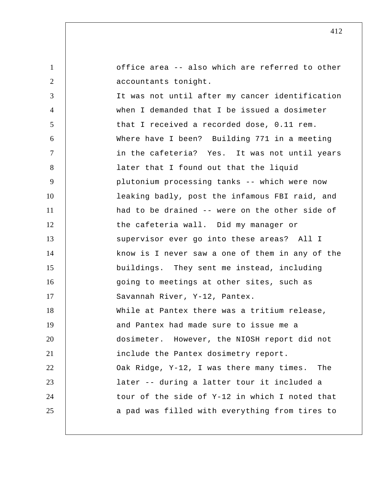1 2 3 4 5 6 7 8 9 10 11 12 13 14 15 16 17 18 19 20 21 22 23 24 25 office area -- also which are referred to other accountants tonight. It was not until after my cancer identification when I demanded that I be issued a dosimeter that I received a recorded dose, 0.11 rem. Where have I been? Building 771 in a meeting in the cafeteria? Yes. It was not until years later that I found out that the liquid plutonium processing tanks -- which were now leaking badly, post the infamous FBI raid, and had to be drained -- were on the other side of the cafeteria wall. Did my manager or supervisor ever go into these areas? All I know is I never saw a one of them in any of the buildings. They sent me instead, including going to meetings at other sites, such as Savannah River, Y-12, Pantex. While at Pantex there was a tritium release, and Pantex had made sure to issue me a dosimeter. However, the NIOSH report did not include the Pantex dosimetry report. Oak Ridge, Y-12, I was there many times. The later -- during a latter tour it included a tour of the side of Y-12 in which I noted that a pad was filled with everything from tires to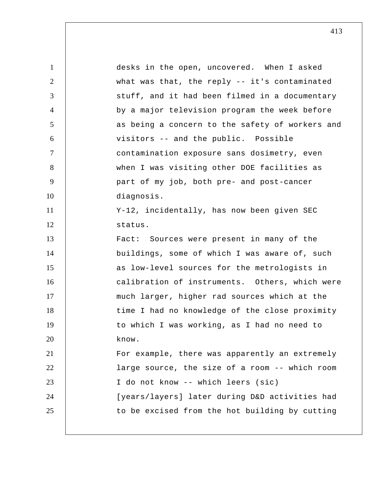1 2 3 4 5 6 7 8 9 10 11 12 13 14 15 16 17 18 19 20 21 22 23 24 25 desks in the open, uncovered. When I asked what was that, the reply -- it's contaminated stuff, and it had been filmed in a documentary by a major television program the week before as being a concern to the safety of workers and visitors -- and the public. Possible contamination exposure sans dosimetry, even when I was visiting other DOE facilities as part of my job, both pre- and post-cancer diagnosis. Y-12, incidentally, has now been given SEC status. Fact: Sources were present in many of the buildings, some of which I was aware of, such as low-level sources for the metrologists in calibration of instruments. Others, which were much larger, higher rad sources which at the time I had no knowledge of the close proximity to which I was working, as I had no need to know. For example, there was apparently an extremely large source, the size of a room -- which room I do not know -- which leers (sic) [years/layers] later during D&D activities had to be excised from the hot building by cutting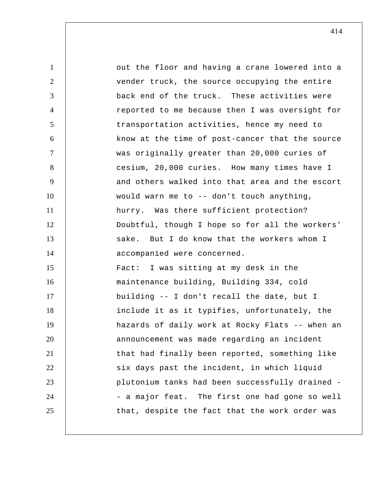1 2 3 4 5 6 7 8 9 10 11 12 13 14 15 16 17 18 19 20 21 22 23 24 25 out the floor and having a crane lowered into a vender truck, the source occupying the entire back end of the truck. These activities were reported to me because then I was oversight for transportation activities, hence my need to know at the time of post-cancer that the source was originally greater than 20,000 curies of cesium, 20,000 curies. How many times have I and others walked into that area and the escort would warn me to -- don't touch anything, hurry. Was there sufficient protection? Doubtful, though I hope so for all the workers' sake. But I do know that the workers whom I accompanied were concerned. Fact: I was sitting at my desk in the maintenance building, Building 334, cold building -- I don't recall the date, but I include it as it typifies, unfortunately, the hazards of daily work at Rocky Flats -- when an announcement was made regarding an incident that had finally been reported, something like six days past the incident, in which liquid plutonium tanks had been successfully drained - a major feat. The first one had gone so well that, despite the fact that the work order was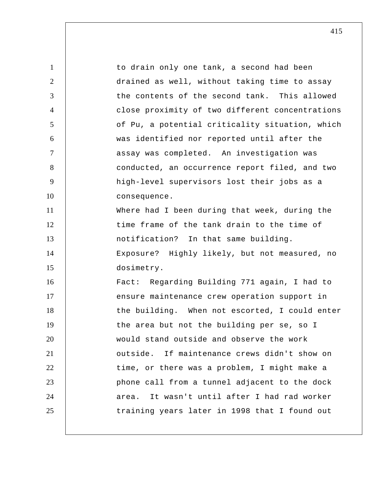1 2 3 4 5 6 7 8 9 10 11 12 13 14 15 16 17 18 19 20 21 22 23 24 25 to drain only one tank, a second had been drained as well, without taking time to assay the contents of the second tank. This allowed close proximity of two different concentrations of Pu, a potential criticality situation, which was identified nor reported until after the assay was completed. An investigation was conducted, an occurrence report filed, and two high-level supervisors lost their jobs as a consequence. Where had I been during that week, during the time frame of the tank drain to the time of notification? In that same building. Exposure? Highly likely, but not measured, no dosimetry. Fact: Regarding Building 771 again, I had to ensure maintenance crew operation support in the building. When not escorted, I could enter the area but not the building per se, so I would stand outside and observe the work outside. If maintenance crews didn't show on time, or there was a problem, I might make a phone call from a tunnel adjacent to the dock area. It wasn't until after I had rad worker training years later in 1998 that I found out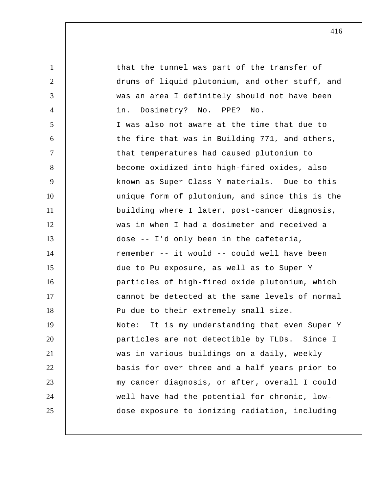1 2 3 4 5 6 7 8 9 10 11 12 13 14 15 16 17 18 19 20 21 22 23 24 25 that the tunnel was part of the transfer of drums of liquid plutonium, and other stuff, and was an area I definitely should not have been in. Dosimetry? No. PPE? No. I was also not aware at the time that due to the fire that was in Building 771, and others, that temperatures had caused plutonium to become oxidized into high-fired oxides, also known as Super Class Y materials. Due to this unique form of plutonium, and since this is the building where I later, post-cancer diagnosis, was in when I had a dosimeter and received a dose -- I'd only been in the cafeteria, remember -- it would -- could well have been due to Pu exposure, as well as to Super Y particles of high-fired oxide plutonium, which cannot be detected at the same levels of normal Pu due to their extremely small size. Note: It is my understanding that even Super Y particles are not detectible by TLDs. Since I was in various buildings on a daily, weekly basis for over three and a half years prior to my cancer diagnosis, or after, overall I could well have had the potential for chronic, low dose exposure to ionizing radiation, including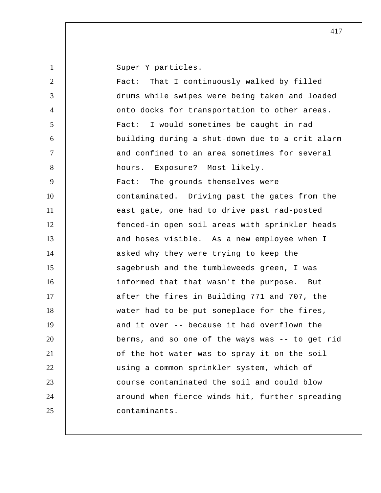Super Y particles.

| $\overline{2}$ | That I continuously walked by filled<br>Fact:   |
|----------------|-------------------------------------------------|
| 3              | drums while swipes were being taken and loaded  |
| $\overline{4}$ | onto docks for transportation to other areas.   |
| 5              | Fact: I would sometimes be caught in rad        |
| 6              | building during a shut-down due to a crit alarm |
| $\overline{7}$ | and confined to an area sometimes for several   |
| 8              | hours. Exposure? Most likely.                   |
| 9              | Fact: The grounds themselves were               |
| 10             | contaminated. Driving past the gates from the   |
| 11             | east gate, one had to drive past rad-posted     |
| 12             | fenced-in open soil areas with sprinkler heads  |
| 13             | and hoses visible. As a new employee when I     |
| 14             | asked why they were trying to keep the          |
| 15             | sagebrush and the tumbleweeds green, I was      |
| 16             | informed that that wasn't the purpose. But      |
| 17             | after the fires in Building 771 and 707, the    |
| 18             | water had to be put someplace for the fires,    |
| 19             | and it over -- because it had overflown the     |
| 20             | berms, and so one of the ways was -- to get rid |
| 21             | of the hot water was to spray it on the soil    |
| 22             | using a common sprinkler system, which of       |
| 23             | course contaminated the soil and could blow     |
| 24             | around when fierce winds hit, further spreading |
| 25             | contaminants.                                   |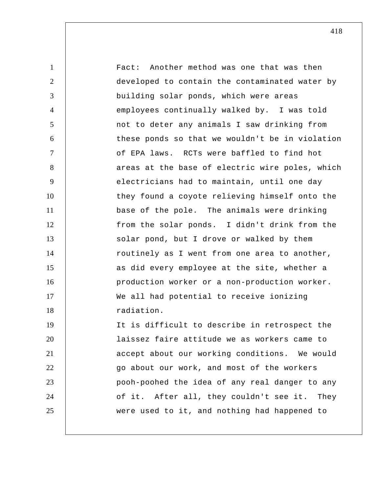1 2 3 4 5 6 7 8 9 10 11 12 13 14 15 16 17 18 19 20 21 22 23 24 25 Fact: Another method was one that was then developed to contain the contaminated water by building solar ponds, which were areas employees continually walked by. I was told not to deter any animals I saw drinking from these ponds so that we wouldn't be in violation of EPA laws. RCTs were baffled to find hot areas at the base of electric wire poles, which electricians had to maintain, until one day they found a coyote relieving himself onto the base of the pole. The animals were drinking from the solar ponds. I didn't drink from the solar pond, but I drove or walked by them routinely as I went from one area to another, as did every employee at the site, whether a production worker or a non-production worker. We all had potential to receive ionizing radiation. It is difficult to describe in retrospect the laissez faire attitude we as workers came to accept about our working conditions. We would go about our work, and most of the workers pooh-poohed the idea of any real danger to any of it. After all, they couldn't see it. They were used to it, and nothing had happened to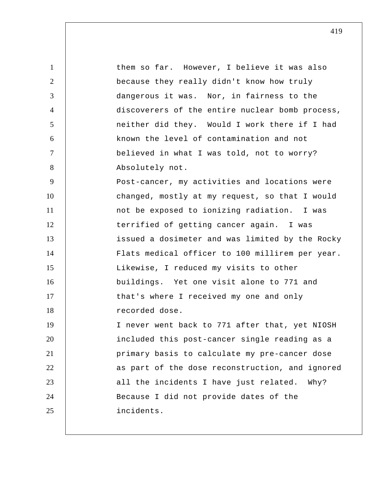| $\mathbf{1}$   | them so far. However, I believe it was also     |
|----------------|-------------------------------------------------|
| $\overline{2}$ | because they really didn't know how truly       |
| 3              | dangerous it was. Nor, in fairness to the       |
| $\overline{4}$ | discoverers of the entire nuclear bomb process, |
| 5              | neither did they. Would I work there if I had   |
| 6              | known the level of contamination and not        |
| $\tau$         | believed in what I was told, not to worry?      |
| 8              | Absolutely not.                                 |
| 9              | Post-cancer, my activities and locations were   |
| 10             | changed, mostly at my request, so that I would  |
| 11             | not be exposed to ionizing radiation. I was     |
| 12             | terrified of getting cancer again. I was        |
| 13             | issued a dosimeter and was limited by the Rocky |
| 14             | Flats medical officer to 100 millirem per year. |
| 15             | Likewise, I reduced my visits to other          |
| 16             | buildings. Yet one visit alone to 771 and       |
| 17             | that's where I received my one and only         |
| 18             | recorded dose.                                  |
| 19             | I never went back to 771 after that, yet NIOSH  |
| 20             | included this post-cancer single reading as a   |
| 21             | primary basis to calculate my pre-cancer dose   |
| 22             | as part of the dose reconstruction, and ignored |
| 23             | all the incidents I have just related. Why?     |
| 24             | Because I did not provide dates of the          |
| 25             | incidents.                                      |
|                |                                                 |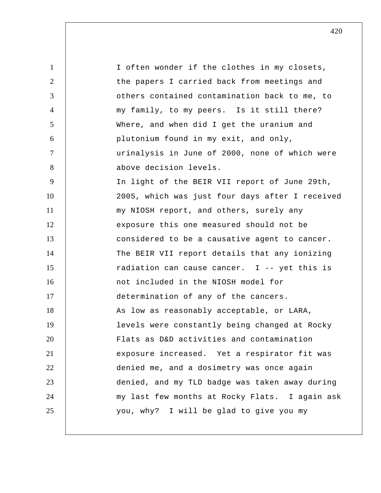1 2 3 4 5 6 7 8 9 10 11 12 13 14 15 16 17 18 19 20 21 22 23 24 25 I often wonder if the clothes in my closets, the papers I carried back from meetings and others contained contamination back to me, to my family, to my peers. Is it still there? Where, and when did I get the uranium and plutonium found in my exit, and only, urinalysis in June of 2000, none of which were above decision levels. In light of the BEIR VII report of June 29th, 2005, which was just four days after I received my NIOSH report, and others, surely any exposure this one measured should not be considered to be a causative agent to cancer. The BEIR VII report details that any ionizing radiation can cause cancer. I -- yet this is not included in the NIOSH model for determination of any of the cancers. As low as reasonably acceptable, or LARA, levels were constantly being changed at Rocky Flats as D&D activities and contamination exposure increased. Yet a respirator fit was denied me, and a dosimetry was once again denied, and my TLD badge was taken away during my last few months at Rocky Flats. I again ask you, why? I will be glad to give you my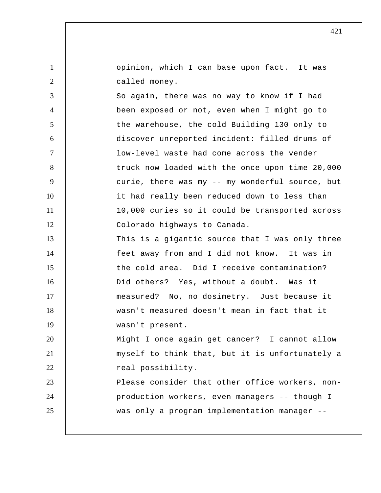opinion, which I can base upon fact. It was called money.

1

2

3 4 5 6 7 8 9 10 11 12 13 14 15 16 17 So again, there was no way to know if I had been exposed or not, even when I might go to the warehouse, the cold Building 130 only to discover unreported incident: filled drums of low-level waste had come across the vender truck now loaded with the once upon time 20,000 curie, there was my -- my wonderful source, but it had really been reduced down to less than 10,000 curies so it could be transported across Colorado highways to Canada. This is a gigantic source that I was only three feet away from and I did not know. It was in the cold area. Did I receive contamination? Did others? Yes, without a doubt. Was it measured? No, no dosimetry. Just because it

18 19 20 wasn't measured doesn't mean in fact that it wasn't present. Might I once again get cancer? I cannot allow

21 22 myself to think that, but it is unfortunately a real possibility.

23 24 25 Please consider that other office workers, non production workers, even managers -- though I was only a program implementation manager --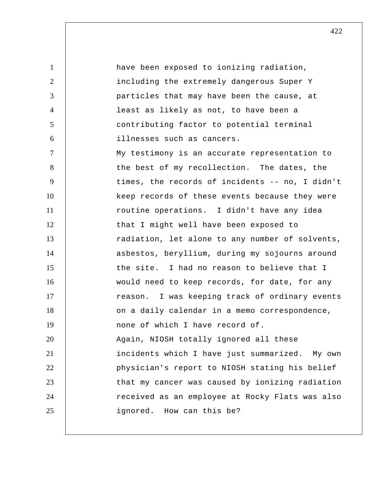1 2 3 4 5 6 7 8 9 10 11 12 13 14 15 16 17 18 19 20 21 22 23 24 25 have been exposed to ionizing radiation, including the extremely dangerous Super Y particles that may have been the cause, at least as likely as not, to have been a contributing factor to potential terminal illnesses such as cancers. My testimony is an accurate representation to the best of my recollection. The dates, the times, the records of incidents -- no, I didn't keep records of these events because they were routine operations. I didn't have any idea that I might well have been exposed to radiation, let alone to any number of solvents, asbestos, beryllium, during my sojourns around the site. I had no reason to believe that I would need to keep records, for date, for any reason. I was keeping track of ordinary events on a daily calendar in a memo correspondence, none of which I have record of. Again, NIOSH totally ignored all these incidents which I have just summarized. My own physician's report to NIOSH stating his belief that my cancer was caused by ionizing radiation received as an employee at Rocky Flats was also ignored. How can this be?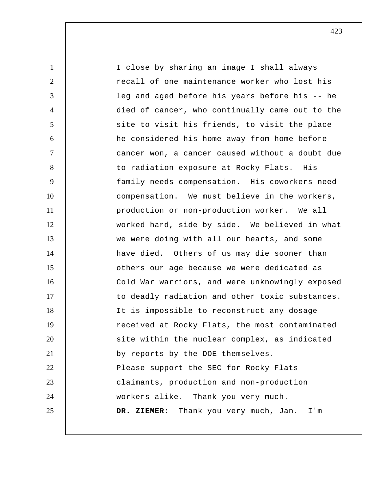1 2 3 4 5 6 7 8 9 10 11 12 13 14 15 16 17 18 19 20 21 22 23 24 25 I close by sharing an image I shall always recall of one maintenance worker who lost his leg and aged before his years before his -- he died of cancer, who continually came out to the site to visit his friends, to visit the place he considered his home away from home before cancer won, a cancer caused without a doubt due to radiation exposure at Rocky Flats. His family needs compensation. His coworkers need compensation. We must believe in the workers, production or non-production worker. We all worked hard, side by side. We believed in what we were doing with all our hearts, and some have died. Others of us may die sooner than others our age because we were dedicated as Cold War warriors, and were unknowingly exposed to deadly radiation and other toxic substances. It is impossible to reconstruct any dosage received at Rocky Flats, the most contaminated site within the nuclear complex, as indicated by reports by the DOE themselves. Please support the SEC for Rocky Flats claimants, production and non-production workers alike. Thank you very much.  **DR. ZIEMER:** Thank you very much, Jan. I'm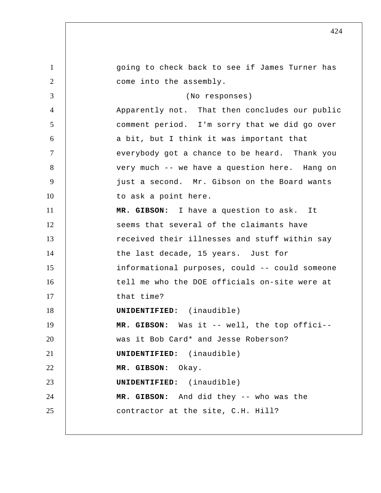1 2 3 4 5 6 7 8 9 10 11 12 13 14 15 16 17 18 19 20 21 22 23 24 25 going to check back to see if James Turner has come into the assembly. (No responses) Apparently not. That then concludes our public comment period. I'm sorry that we did go over a bit, but I think it was important that everybody got a chance to be heard. Thank you very much -- we have a question here. Hang on just a second. Mr. Gibson on the Board wants to ask a point here.  **MR. GIBSON:** I have a question to ask. It seems that several of the claimants have received their illnesses and stuff within say the last decade, 15 years. Just for informational purposes, could -- could someone tell me who the DOE officials on-site were at that time? **UNIDENTIFIED:** (inaudible)  **MR. GIBSON:** Was it -- well, the top offici- was it Bob Card\* and Jesse Roberson? **UNIDENTIFIED:** (inaudible)  **MR. GIBSON:** Okay. **UNIDENTIFIED:** (inaudible)  **MR. GIBSON:** And did they -- who was the contractor at the site, C.H. Hill?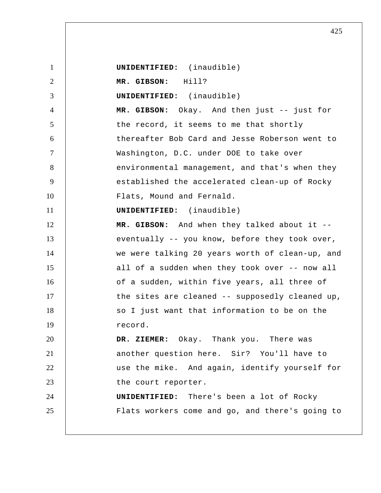1 2 3 4 5 6 7 8 9 10 11 12 13 14 15 16 17 18 19 20 21 22 23 24 25  **UNIDENTIFIED:** (inaudible)  **MR. GIBSON:** Hill? **UNIDENTIFIED:** (inaudible)  **MR. GIBSON:** Okay. And then just -- just for the record, it seems to me that shortly thereafter Bob Card and Jesse Roberson went to Washington, D.C. under DOE to take over environmental management, and that's when they established the accelerated clean-up of Rocky Flats, Mound and Fernald. **UNIDENTIFIED:** (inaudible)  **MR. GIBSON:** And when they talked about it - eventually -- you know, before they took over, we were talking 20 years worth of clean-up, and all of a sudden when they took over -- now all of a sudden, within five years, all three of the sites are cleaned -- supposedly cleaned up, so I just want that information to be on the record.  **DR. ZIEMER:** Okay. Thank you. There was another question here. Sir? You'll have to use the mike. And again, identify yourself for the court reporter. **UNIDENTIFIED:** There's been a lot of Rocky Flats workers come and go, and there's going to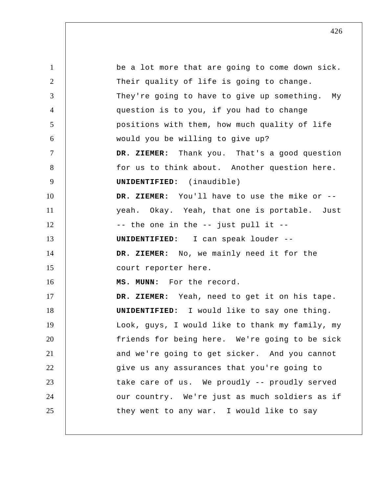1 2 3 4 5 6 7 8 9 10 11 12 13 14 15 16 17 18 19 20 21 22 23 24 25 be a lot more that are going to come down sick. Their quality of life is going to change. They're going to have to give up something. My question is to you, if you had to change positions with them, how much quality of life would you be willing to give up?  **DR. ZIEMER:** Thank you. That's a good question for us to think about. Another question here. **UNIDENTIFIED:** (inaudible)  **DR. ZIEMER:** You'll have to use the mike or - yeah. Okay. Yeah, that one is portable. Just -- the one in the -- just pull it -- **UNIDENTIFIED:** I can speak louder -- **DR. ZIEMER:** No, we mainly need it for the court reporter here.  **MS. MUNN:** For the record.  **DR. ZIEMER:** Yeah, need to get it on his tape. **UNIDENTIFIED:** I would like to say one thing. Look, guys, I would like to thank my family, my friends for being here. We're going to be sick and we're going to get sicker. And you cannot give us any assurances that you're going to take care of us. We proudly -- proudly served our country. We're just as much soldiers as if they went to any war. I would like to say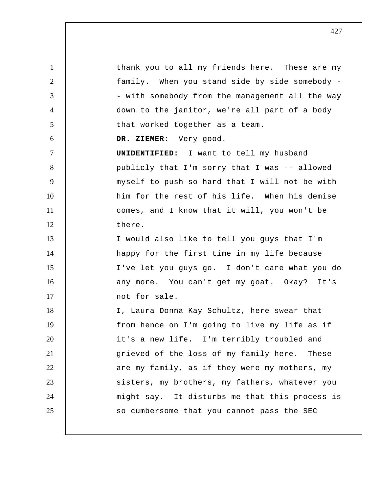1 2 3 4 5 6 7 8 9 10 11 12 13 14 15 16 17 18 19 20 21 22 23 24 25 thank you to all my friends here. These are my family. When you stand side by side somebody - with somebody from the management all the way down to the janitor, we're all part of a body that worked together as a team.  **DR. ZIEMER:** Very good. **UNIDENTIFIED:** I want to tell my husband publicly that I'm sorry that I was -- allowed myself to push so hard that I will not be with him for the rest of his life. When his demise comes, and I know that it will, you won't be there. I would also like to tell you guys that I'm happy for the first time in my life because I've let you guys go. I don't care what you do any more. You can't get my goat. Okay? It's not for sale. I, Laura Donna Kay Schultz, here swear that from hence on I'm going to live my life as if it's a new life. I'm terribly troubled and grieved of the loss of my family here. These are my family, as if they were my mothers, my sisters, my brothers, my fathers, whatever you might say. It disturbs me that this process is so cumbersome that you cannot pass the SEC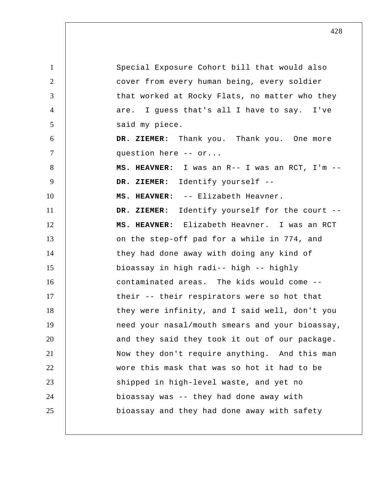1 2 3 4 5 6 7 8 9 10 11 12 13 14 15 16 17 18 19 20 21 22 23 24 25 Special Exposure Cohort bill that would also cover from every human being, every soldier that worked at Rocky Flats, no matter who they are. I guess that's all I have to say. I've said my piece.  **DR. ZIEMER:** Thank you. Thank you. One more question here -- or...  **MS. HEAVNER:** I was an R-- I was an RCT, I'm --  **DR. ZIEMER:** Identify yourself --  **MS. HEAVNER:** -- Elizabeth Heavner.  **DR. ZIEMER:** Identify yourself for the court --  **MS. HEAVNER:** Elizabeth Heavner. I was an RCT on the step-off pad for a while in 774, and they had done away with doing any kind of bioassay in high radi-- high -- highly contaminated areas. The kids would come - their -- their respirators were so hot that they were infinity, and I said well, don't you need your nasal/mouth smears and your bioassay, and they said they took it out of our package. Now they don't require anything. And this man wore this mask that was so hot it had to be shipped in high-level waste, and yet no bioassay was -- they had done away with bioassay and they had done away with safety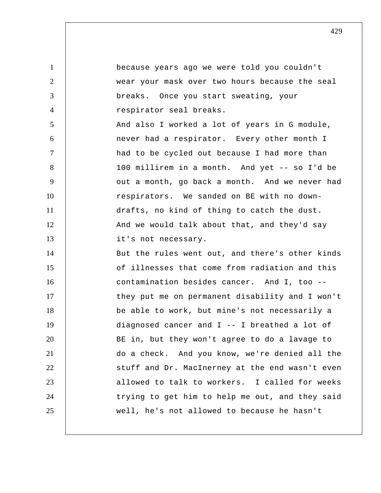| $\mathbf{1}$   | because years ago we were told you couldn't     |
|----------------|-------------------------------------------------|
| $\overline{2}$ | wear your mask over two hours because the seal  |
| 3              | breaks. Once you start sweating, your           |
| $\overline{4}$ | respirator seal breaks.                         |
| 5              | And also I worked a lot of years in G module,   |
| 6              | never had a respirator. Every other month I     |
| $\tau$         | had to be cycled out because I had more than    |
| 8              | 100 millirem in a month. And yet -- so I'd be   |
| 9              | out a month, go back a month. And we never had  |
| 10             | respirators. We sanded on BE with no down-      |
| 11             | drafts, no kind of thing to catch the dust.     |
| 12             | And we would talk about that, and they'd say    |
| 13             | it's not necessary.                             |
| 14             | But the rules went out, and there's other kinds |
| 15             | of illnesses that come from radiation and this  |
| 16             | contamination besides cancer. And I, too --     |
| 17             | they put me on permanent disability and I won't |
| 18             | be able to work, but mine's not necessarily a   |
| 19             | diagnosed cancer and I -- I breathed a lot of   |
| 20             | BE in, but they won't agree to do a lavage to   |
| 21             | do a check. And you know, we're denied all the  |
| 22             | stuff and Dr. MacInerney at the end wasn't even |
| 23             | allowed to talk to workers. I called for weeks  |
| 24             | trying to get him to help me out, and they said |
| 25             | well, he's not allowed to because he hasn't     |
|                |                                                 |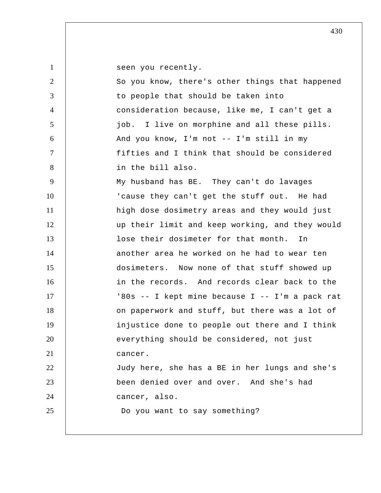seen you recently.

1

| $\overline{2}$ | So you know, there's other things that happened |
|----------------|-------------------------------------------------|
| 3              | to people that should be taken into             |
| $\overline{4}$ | consideration because, like me, I can't get a   |
| $\mathfrak{S}$ | job. I live on morphine and all these pills.    |
| 6              | And you know, I'm not -- I'm still in my        |
| $\tau$         | fifties and I think that should be considered   |
| 8              | in the bill also.                               |
| 9              | My husband has BE. They can't do lavages        |
| 10             | 'cause they can't get the stuff out. He had     |
| 11             | high dose dosimetry areas and they would just   |
| 12             | up their limit and keep working, and they would |
| 13             | lose their dosimeter for that month. In         |
| 14             | another area he worked on he had to wear ten    |
| 15             | dosimeters. Now none of that stuff showed up    |
| 16             | in the records. And records clear back to the   |
| 17             | '80s -- I kept mine because I -- I'm a pack rat |
| 18             | on paperwork and stuff, but there was a lot of  |
| 19             | injustice done to people out there and I think  |
| 20             | everything should be considered, not just       |
| 21             | cancer.                                         |
| 22             | Judy here, she has a BE in her lungs and she's  |
| 23             | been denied over and over. And she's had        |
| 24             | cancer, also.                                   |
| 25             | Do you want to say something?                   |
|                |                                                 |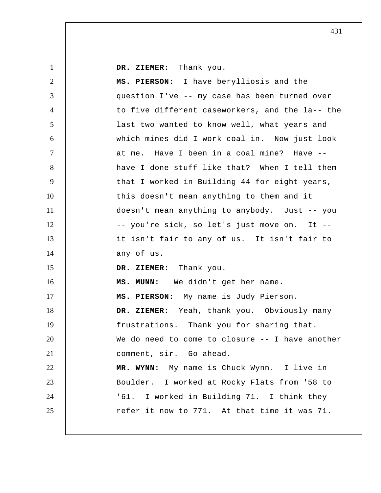| $\mathbf{1}$   | DR. ZIEMER: Thank you.                          |
|----------------|-------------------------------------------------|
| $\overline{2}$ | MS. PIERSON: I have berylliosis and the         |
| 3              | question I've -- my case has been turned over   |
| $\overline{4}$ | to five different caseworkers, and the la-- the |
| 5              | last two wanted to know well, what years and    |
| 6              | which mines did I work coal in. Now just look   |
| $\tau$         | at me. Have I been in a coal mine? Have --      |
| 8              | have I done stuff like that? When I tell them   |
| 9              | that I worked in Building 44 for eight years,   |
| 10             | this doesn't mean anything to them and it       |
| 11             | doesn't mean anything to anybody. Just -- you   |
| 12             | -- you're sick, so let's just move on. It --    |
| 13             | it isn't fair to any of us. It isn't fair to    |
| 14             | any of us.                                      |
| 15             | DR. ZIEMER: Thank you.                          |
| 16             | MS. MUNN: We didn't get her name.               |
| 17             | MS. PIERSON: My name is Judy Pierson.           |
| 18             | DR. ZIEMER: Yeah, thank you. Obviously many     |
| 19             | frustrations. Thank you for sharing that.       |
| 20             | We do need to come to closure -- I have another |
| 21             | comment, sir. Go ahead.                         |
| 22             | MR. WYNN: My name is Chuck Wynn. I live in      |
| 23             | Boulder. I worked at Rocky Flats from '58 to    |
| 24             | '61. I worked in Building 71. I think they      |
| 25             | refer it now to 771. At that time it was 71.    |
|                |                                                 |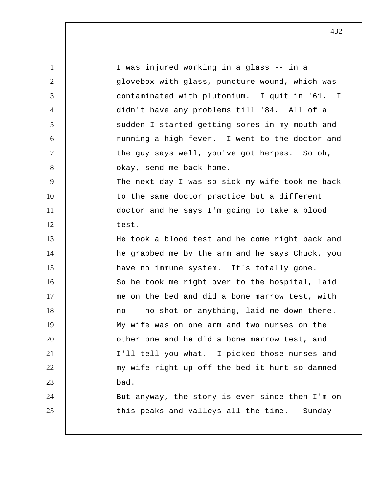1 2 3 4 5 6 7 8 9 10 11 12 13 14 15 16 17 18 19 20 21 22 23 24 25 contaminated with plutonium. I quit in '61. I I was injured working in a glass -- in a glovebox with glass, puncture wound, which was didn't have any problems till '84. All of a sudden I started getting sores in my mouth and running a high fever. I went to the doctor and the guy says well, you've got herpes. So oh, okay, send me back home. The next day I was so sick my wife took me back to the same doctor practice but a different doctor and he says I'm going to take a blood test. He took a blood test and he come right back and he grabbed me by the arm and he says Chuck, you have no immune system. It's totally gone. So he took me right over to the hospital, laid me on the bed and did a bone marrow test, with no -- no shot or anything, laid me down there. My wife was on one arm and two nurses on the other one and he did a bone marrow test, and I'll tell you what. I picked those nurses and my wife right up off the bed it hurt so damned bad. But anyway, the story is ever since then I'm on this peaks and valleys all the time. Sunday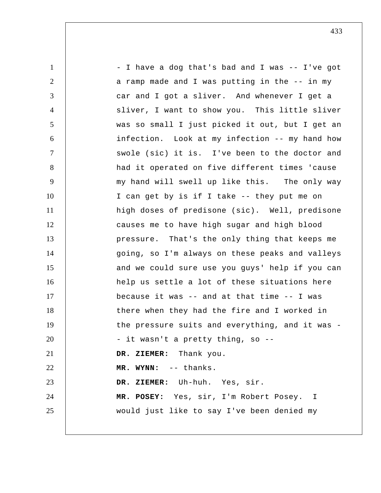1 2 3 4 5 6 7 8 9 10 11 12 13 14 15 16 17 18 19 20 21 22 23 24 25 - I have a dog that's bad and I was -- I've got a ramp made and I was putting in the -- in my car and I got a sliver. And whenever I get a sliver, I want to show you. This little sliver was so small I just picked it out, but I get an infection. Look at my infection -- my hand how swole (sic) it is. I've been to the doctor and had it operated on five different times 'cause my hand will swell up like this. The only way I can get by is if I take -- they put me on high doses of predisone (sic). Well, predisone causes me to have high sugar and high blood pressure. That's the only thing that keeps me going, so I'm always on these peaks and valleys and we could sure use you guys' help if you can help us settle a lot of these situations here because it was -- and at that time -- I was there when they had the fire and I worked in the pressure suits and everything, and it was - it wasn't a pretty thing, so --  **DR. ZIEMER:** Thank you.  **MR. WYNN:** -- thanks.  **DR. ZIEMER:** Uh-huh. Yes, sir. **MR. POSEY:** Yes, sir, I'm Robert Posey. I would just like to say I've been denied my

433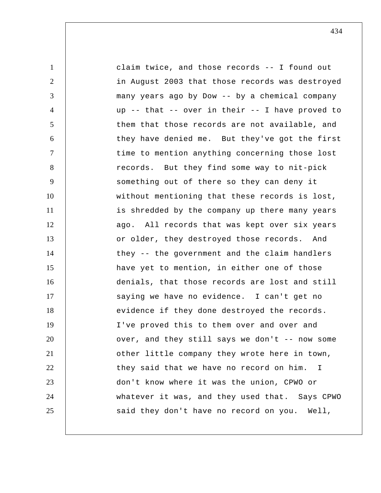1 2 3 4 5 6 7 8 9 10 11 12 13 14 15 16 17 18 19 20 21 22 23 24 25 claim twice, and those records -- I found out in August 2003 that those records was destroyed many years ago by Dow -- by a chemical company up -- that -- over in their -- I have proved to them that those records are not available, and they have denied me. But they've got the first time to mention anything concerning those lost records. But they find some way to nit-pick something out of there so they can deny it without mentioning that these records is lost, is shredded by the company up there many years ago. All records that was kept over six years or older, they destroyed those records. And they -- the government and the claim handlers have yet to mention, in either one of those denials, that those records are lost and still saying we have no evidence. I can't get no evidence if they done destroyed the records. I've proved this to them over and over and over, and they still says we don't  $-$ - now some other little company they wrote here in town, they said that we have no record on him.  $\mathsf{T}$ don't know where it was the union, CPWO or whatever it was, and they used that. Says CPWO said they don't have no record on you. Well,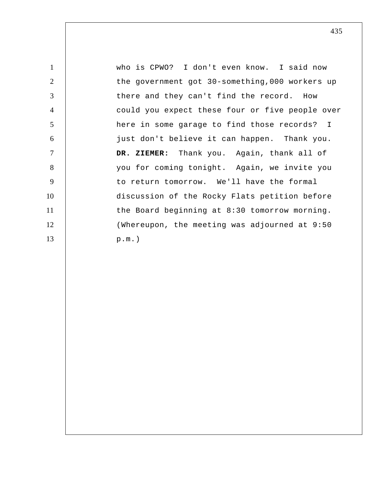1 2 3 4 5 6 7 8 9 10 11 12 13 who is CPWO? I don't even know. I said now the government got 30-something,000 workers up there and they can't find the record. How could you expect these four or five people over here in some garage to find those records? I just don't believe it can happen. Thank you.  **DR. ZIEMER:** Thank you. Again, thank all of you for coming tonight. Again, we invite you to return tomorrow. We'll have the formal discussion of the Rocky Flats petition before the Board beginning at 8:30 tomorrow morning. (Whereupon, the meeting was adjourned at 9:50 p.m.)